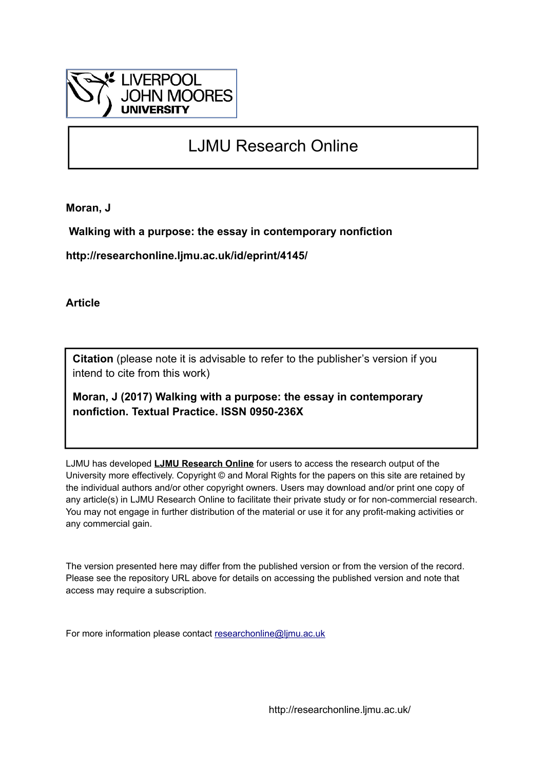

# LJMU Research Online

**Moran, J**

 **Walking with a purpose: the essay in contemporary nonfiction**

**http://researchonline.ljmu.ac.uk/id/eprint/4145/**

**Article**

**Citation** (please note it is advisable to refer to the publisher's version if you intend to cite from this work)

**Moran, J (2017) Walking with a purpose: the essay in contemporary nonfiction. Textual Practice. ISSN 0950-236X** 

LJMU has developed **[LJMU Research Online](http://researchonline.ljmu.ac.uk/)** for users to access the research output of the University more effectively. Copyright © and Moral Rights for the papers on this site are retained by the individual authors and/or other copyright owners. Users may download and/or print one copy of any article(s) in LJMU Research Online to facilitate their private study or for non-commercial research. You may not engage in further distribution of the material or use it for any profit-making activities or any commercial gain.

The version presented here may differ from the published version or from the version of the record. Please see the repository URL above for details on accessing the published version and note that access may require a subscription.

For more information please contact [researchonline@ljmu.ac.uk](mailto:researchonline@ljmu.ac.uk)

http://researchonline.ljmu.ac.uk/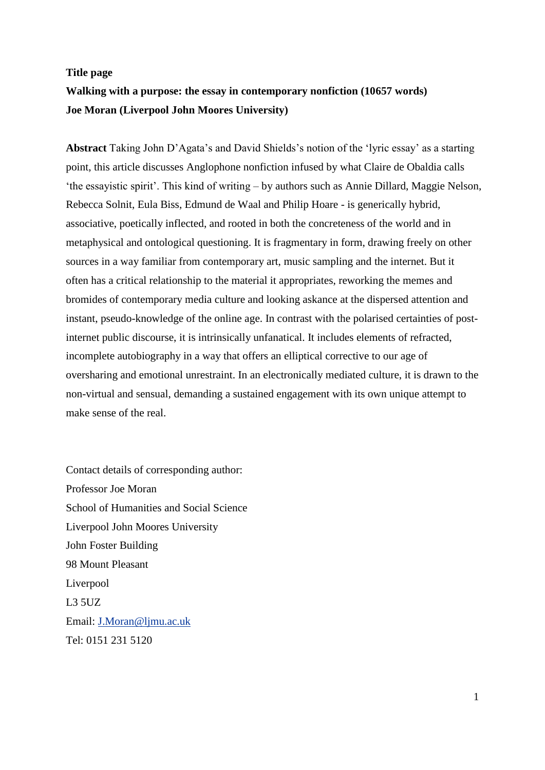# **Title page Walking with a purpose: the essay in contemporary nonfiction (10657 words) Joe Moran (Liverpool John Moores University)**

**Abstract** Taking John D'Agata's and David Shields's notion of the 'lyric essay' as a starting point, this article discusses Anglophone nonfiction infused by what Claire de Obaldia calls 'the essayistic spirit'. This kind of writing – by authors such as Annie Dillard, Maggie Nelson, Rebecca Solnit, Eula Biss, Edmund de Waal and Philip Hoare - is generically hybrid, associative, poetically inflected, and rooted in both the concreteness of the world and in metaphysical and ontological questioning. It is fragmentary in form, drawing freely on other sources in a way familiar from contemporary art, music sampling and the internet. But it often has a critical relationship to the material it appropriates, reworking the memes and bromides of contemporary media culture and looking askance at the dispersed attention and instant, pseudo-knowledge of the online age. In contrast with the polarised certainties of postinternet public discourse, it is intrinsically unfanatical. It includes elements of refracted, incomplete autobiography in a way that offers an elliptical corrective to our age of oversharing and emotional unrestraint. In an electronically mediated culture, it is drawn to the non-virtual and sensual, demanding a sustained engagement with its own unique attempt to make sense of the real.

Contact details of corresponding author: Professor Joe Moran School of Humanities and Social Science Liverpool John Moores University John Foster Building 98 Mount Pleasant Liverpool L3 5UZ Email: [J.Moran@ljmu.ac.uk](mailto:J.Moran@ljmu.ac.uk) Tel: 0151 231 5120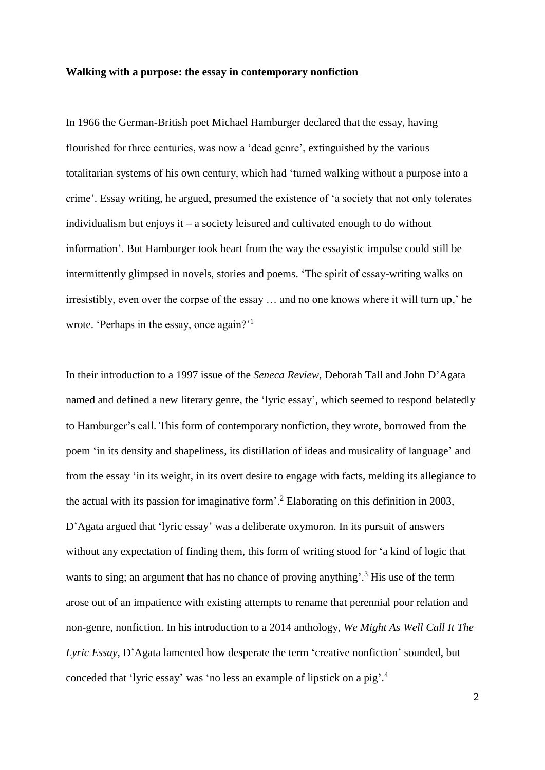#### **Walking with a purpose: the essay in contemporary nonfiction**

In 1966 the German-British poet Michael Hamburger declared that the essay, having flourished for three centuries, was now a 'dead genre', extinguished by the various totalitarian systems of his own century, which had 'turned walking without a purpose into a crime'. Essay writing, he argued, presumed the existence of 'a society that not only tolerates individualism but enjoys it – a society leisured and cultivated enough to do without information'. But Hamburger took heart from the way the essayistic impulse could still be intermittently glimpsed in novels, stories and poems. 'The spirit of essay-writing walks on irresistibly, even over the corpse of the essay … and no one knows where it will turn up,' he wrote. 'Perhaps in the essay, once again?'<sup>1</sup>

In their introduction to a 1997 issue of the *Seneca Review*, Deborah Tall and John D'Agata named and defined a new literary genre, the 'lyric essay', which seemed to respond belatedly to Hamburger's call. This form of contemporary nonfiction, they wrote, borrowed from the poem 'in its density and shapeliness, its distillation of ideas and musicality of language' and from the essay 'in its weight, in its overt desire to engage with facts, melding its allegiance to the actual with its passion for imaginative form'. <sup>2</sup> Elaborating on this definition in 2003, D'Agata argued that 'lyric essay' was a deliberate oxymoron. In its pursuit of answers without any expectation of finding them, this form of writing stood for 'a kind of logic that wants to sing; an argument that has no chance of proving anything'.<sup>3</sup> His use of the term arose out of an impatience with existing attempts to rename that perennial poor relation and non-genre, nonfiction. In his introduction to a 2014 anthology, *We Might As Well Call It The Lyric Essay*, D'Agata lamented how desperate the term 'creative nonfiction' sounded, but conceded that 'lyric essay' was 'no less an example of lipstick on a pig'. 4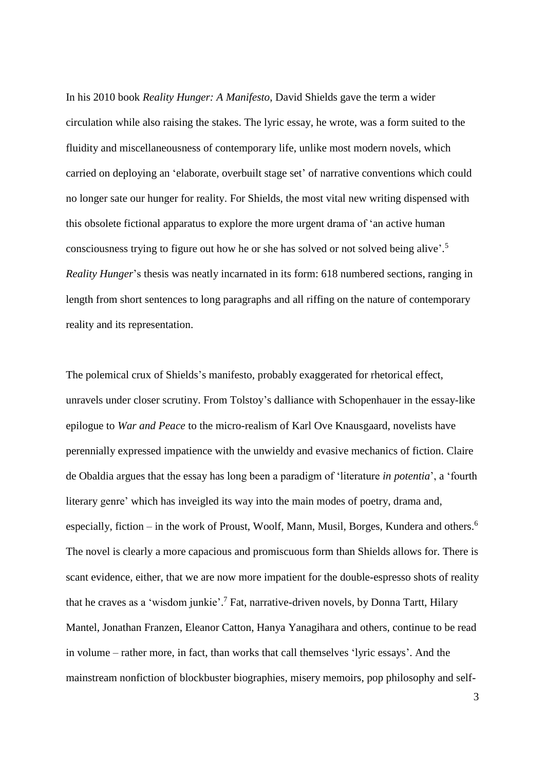In his 2010 book *Reality Hunger: A Manifesto*, David Shields gave the term a wider circulation while also raising the stakes. The lyric essay, he wrote, was a form suited to the fluidity and miscellaneousness of contemporary life, unlike most modern novels, which carried on deploying an 'elaborate, overbuilt stage set' of narrative conventions which could no longer sate our hunger for reality. For Shields, the most vital new writing dispensed with this obsolete fictional apparatus to explore the more urgent drama of 'an active human consciousness trying to figure out how he or she has solved or not solved being alive'. 5 *Reality Hunger*'s thesis was neatly incarnated in its form: 618 numbered sections, ranging in length from short sentences to long paragraphs and all riffing on the nature of contemporary reality and its representation.

The polemical crux of Shields's manifesto, probably exaggerated for rhetorical effect, unravels under closer scrutiny. From Tolstoy's dalliance with Schopenhauer in the essay-like epilogue to *War and Peace* to the micro-realism of Karl Ove Knausgaard, novelists have perennially expressed impatience with the unwieldy and evasive mechanics of fiction. Claire de Obaldia argues that the essay has long been a paradigm of 'literature *in potentia*', a 'fourth literary genre' which has inveigled its way into the main modes of poetry, drama and, especially, fiction - in the work of Proust, Woolf, Mann, Musil, Borges, Kundera and others.<sup>6</sup> The novel is clearly a more capacious and promiscuous form than Shields allows for. There is scant evidence, either, that we are now more impatient for the double-espresso shots of reality that he craves as a 'wisdom junkie'.<sup>7</sup> Fat, narrative-driven novels, by Donna Tartt, Hilary Mantel, Jonathan Franzen, Eleanor Catton, Hanya Yanagihara and others, continue to be read in volume – rather more, in fact, than works that call themselves 'lyric essays'. And the mainstream nonfiction of blockbuster biographies, misery memoirs, pop philosophy and self-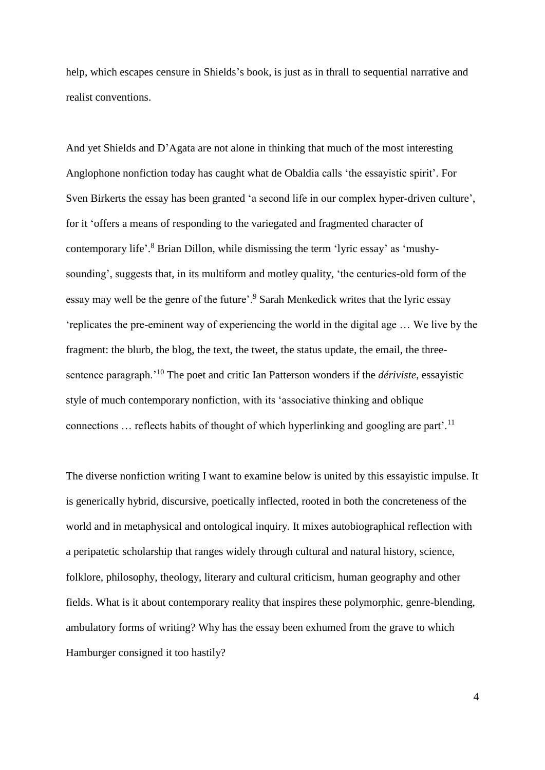help, which escapes censure in Shields's book, is just as in thrall to sequential narrative and realist conventions.

And yet Shields and D'Agata are not alone in thinking that much of the most interesting Anglophone nonfiction today has caught what de Obaldia calls 'the essayistic spirit'. For Sven Birkerts the essay has been granted 'a second life in our complex hyper-driven culture', for it 'offers a means of responding to the variegated and fragmented character of contemporary life'. <sup>8</sup> Brian Dillon, while dismissing the term 'lyric essay' as 'mushysounding', suggests that, in its multiform and motley quality, 'the centuries-old form of the essay may well be the genre of the future'.<sup>9</sup> Sarah Menkedick writes that the lyric essay 'replicates the pre-eminent way of experiencing the world in the digital age … We live by the fragment: the blurb, the blog, the text, the tweet, the status update, the email, the threesentence paragraph.'<sup>10</sup> The poet and critic Ian Patterson wonders if the *dériviste*, essayistic style of much contemporary nonfiction, with its 'associative thinking and oblique connections  $\ldots$  reflects habits of thought of which hyperlinking and googling are part<sup>'.11</sup>

The diverse nonfiction writing I want to examine below is united by this essayistic impulse. It is generically hybrid, discursive, poetically inflected, rooted in both the concreteness of the world and in metaphysical and ontological inquiry. It mixes autobiographical reflection with a peripatetic scholarship that ranges widely through cultural and natural history, science, folklore, philosophy, theology, literary and cultural criticism, human geography and other fields. What is it about contemporary reality that inspires these polymorphic, genre-blending, ambulatory forms of writing? Why has the essay been exhumed from the grave to which Hamburger consigned it too hastily?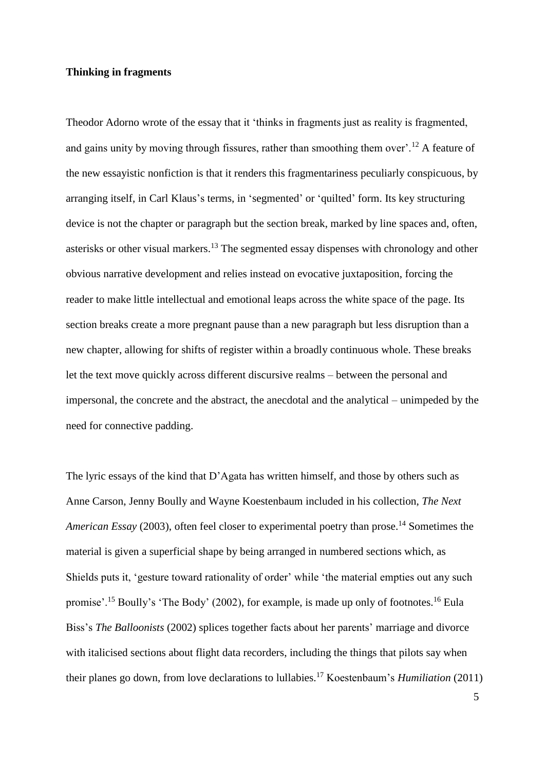# **Thinking in fragments**

Theodor Adorno wrote of the essay that it 'thinks in fragments just as reality is fragmented, and gains unity by moving through fissures, rather than smoothing them over'.<sup>12</sup> A feature of the new essayistic nonfiction is that it renders this fragmentariness peculiarly conspicuous, by arranging itself, in Carl Klaus's terms, in 'segmented' or 'quilted' form. Its key structuring device is not the chapter or paragraph but the section break, marked by line spaces and, often, asterisks or other visual markers.<sup>13</sup> The segmented essay dispenses with chronology and other obvious narrative development and relies instead on evocative juxtaposition, forcing the reader to make little intellectual and emotional leaps across the white space of the page. Its section breaks create a more pregnant pause than a new paragraph but less disruption than a new chapter, allowing for shifts of register within a broadly continuous whole. These breaks let the text move quickly across different discursive realms – between the personal and impersonal, the concrete and the abstract, the anecdotal and the analytical – unimpeded by the need for connective padding.

The lyric essays of the kind that D'Agata has written himself, and those by others such as Anne Carson, Jenny Boully and Wayne Koestenbaum included in his collection, *The Next*  American Essay (2003), often feel closer to experimental poetry than prose.<sup>14</sup> Sometimes the material is given a superficial shape by being arranged in numbered sections which, as Shields puts it, 'gesture toward rationality of order' while 'the material empties out any such promise'.<sup>15</sup> Boully's 'The Body' (2002), for example, is made up only of footnotes.<sup>16</sup> Eula Biss's *The Balloonists* (2002) splices together facts about her parents' marriage and divorce with italicised sections about flight data recorders, including the things that pilots say when their planes go down, from love declarations to lullabies.<sup>17</sup> Koestenbaum's *Humiliation* (2011)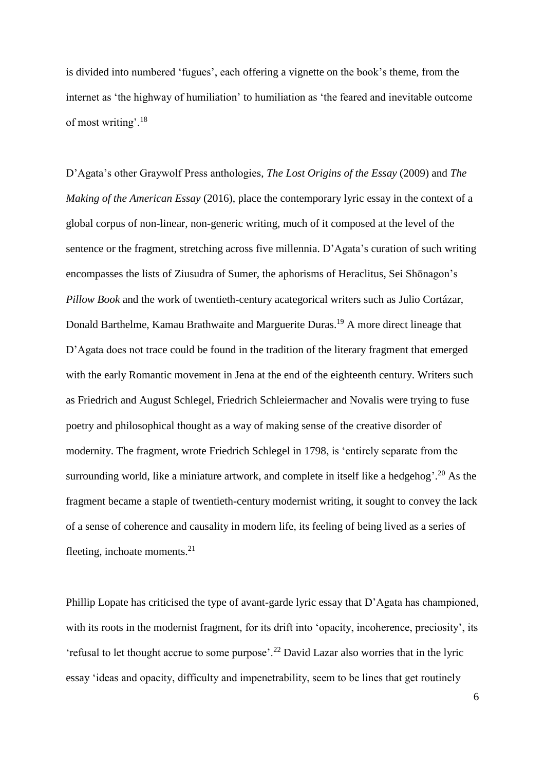is divided into numbered 'fugues', each offering a vignette on the book's theme, from the internet as 'the highway of humiliation' to humiliation as 'the feared and inevitable outcome of most writing'.<sup>18</sup>

D'Agata's other Graywolf Press anthologies, *The Lost Origins of the Essay* (2009) and *The Making of the American Essay* (2016), place the contemporary lyric essay in the context of a global corpus of non-linear, non-generic writing, much of it composed at the level of the sentence or the fragment, stretching across five millennia. D'Agata's curation of such writing encompasses the lists of Ziusudra of Sumer, the aphorisms of Heraclitus, Sei Shōnagon's *Pillow Book* and the work of twentieth-century acategorical writers such as Julio Cortázar, Donald Barthelme, Kamau Brathwaite and Marguerite Duras.<sup>19</sup> A more direct lineage that D'Agata does not trace could be found in the tradition of the literary fragment that emerged with the early Romantic movement in Jena at the end of the eighteenth century. Writers such as Friedrich and August Schlegel, Friedrich Schleiermacher and Novalis were trying to fuse poetry and philosophical thought as a way of making sense of the creative disorder of modernity. The fragment, wrote Friedrich Schlegel in 1798, is 'entirely separate from the surrounding world, like a miniature artwork, and complete in itself like a hedgehog'.<sup>20</sup> As the fragment became a staple of twentieth-century modernist writing, it sought to convey the lack of a sense of coherence and causality in modern life, its feeling of being lived as a series of fleeting, inchoate moments. $^{21}$ 

Phillip Lopate has criticised the type of avant-garde lyric essay that D'Agata has championed, with its roots in the modernist fragment, for its drift into 'opacity, incoherence, preciosity', its 'refusal to let thought accrue to some purpose'.<sup>22</sup> David Lazar also worries that in the lyric essay 'ideas and opacity, difficulty and impenetrability, seem to be lines that get routinely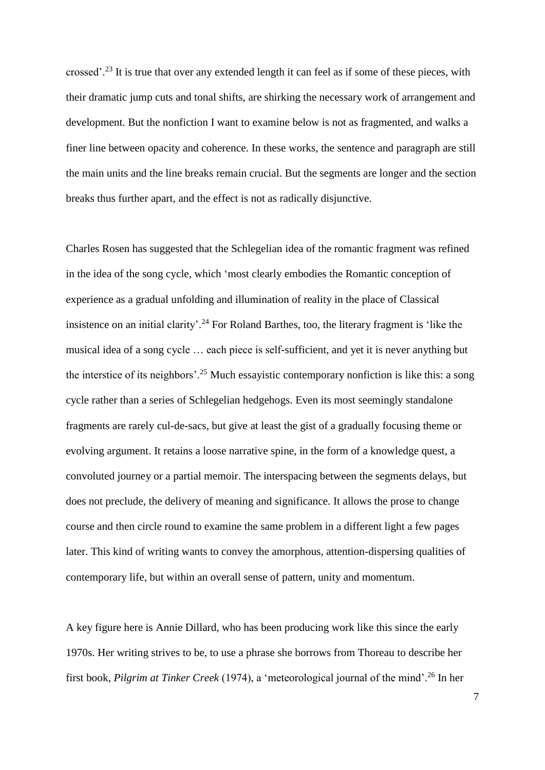crossed'.<sup>23</sup> It is true that over any extended length it can feel as if some of these pieces, with their dramatic jump cuts and tonal shifts, are shirking the necessary work of arrangement and development. But the nonfiction I want to examine below is not as fragmented, and walks a finer line between opacity and coherence. In these works, the sentence and paragraph are still the main units and the line breaks remain crucial. But the segments are longer and the section breaks thus further apart, and the effect is not as radically disjunctive.

Charles Rosen has suggested that the Schlegelian idea of the romantic fragment was refined in the idea of the song cycle, which 'most clearly embodies the Romantic conception of experience as a gradual unfolding and illumination of reality in the place of Classical insistence on an initial clarity'.<sup>24</sup> For Roland Barthes, too, the literary fragment is 'like the musical idea of a song cycle … each piece is self-sufficient, and yet it is never anything but the interstice of its neighbors'.<sup>25</sup> Much essayistic contemporary nonfiction is like this: a song cycle rather than a series of Schlegelian hedgehogs. Even its most seemingly standalone fragments are rarely cul-de-sacs, but give at least the gist of a gradually focusing theme or evolving argument. It retains a loose narrative spine, in the form of a knowledge quest, a convoluted journey or a partial memoir. The interspacing between the segments delays, but does not preclude, the delivery of meaning and significance. It allows the prose to change course and then circle round to examine the same problem in a different light a few pages later. This kind of writing wants to convey the amorphous, attention-dispersing qualities of contemporary life, but within an overall sense of pattern, unity and momentum.

A key figure here is Annie Dillard, who has been producing work like this since the early 1970s. Her writing strives to be, to use a phrase she borrows from Thoreau to describe her first book, *Pilgrim at Tinker Creek* (1974), a 'meteorological journal of the mind'.<sup>26</sup> In her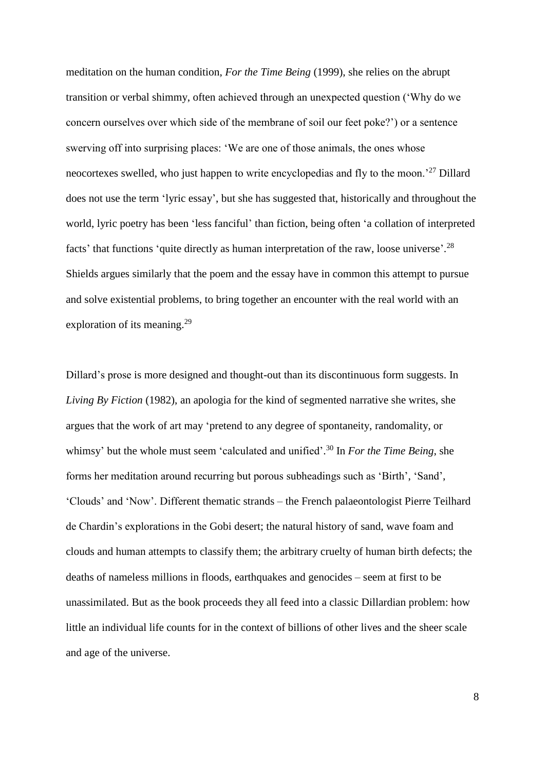meditation on the human condition, *For the Time Being* (1999), she relies on the abrupt transition or verbal shimmy, often achieved through an unexpected question ('Why do we concern ourselves over which side of the membrane of soil our feet poke?') or a sentence swerving off into surprising places: 'We are one of those animals, the ones whose neocortexes swelled, who just happen to write encyclopedias and fly to the moon.'<sup>27</sup> Dillard does not use the term 'lyric essay', but she has suggested that, historically and throughout the world, lyric poetry has been 'less fanciful' than fiction, being often 'a collation of interpreted facts' that functions 'quite directly as human interpretation of the raw, loose universe'.<sup>28</sup> Shields argues similarly that the poem and the essay have in common this attempt to pursue and solve existential problems, to bring together an encounter with the real world with an exploration of its meaning.<sup>29</sup>

Dillard's prose is more designed and thought-out than its discontinuous form suggests. In *Living By Fiction* (1982), an apologia for the kind of segmented narrative she writes, she argues that the work of art may 'pretend to any degree of spontaneity, randomality, or whimsy' but the whole must seem 'calculated and unified'. <sup>30</sup> In *For the Time Being*, she forms her meditation around recurring but porous subheadings such as 'Birth', 'Sand', 'Clouds' and 'Now'. Different thematic strands – the French palaeontologist Pierre Teilhard de Chardin's explorations in the Gobi desert; the natural history of sand, wave foam and clouds and human attempts to classify them; the arbitrary cruelty of human birth defects; the deaths of nameless millions in floods, earthquakes and genocides – seem at first to be unassimilated. But as the book proceeds they all feed into a classic Dillardian problem: how little an individual life counts for in the context of billions of other lives and the sheer scale and age of the universe.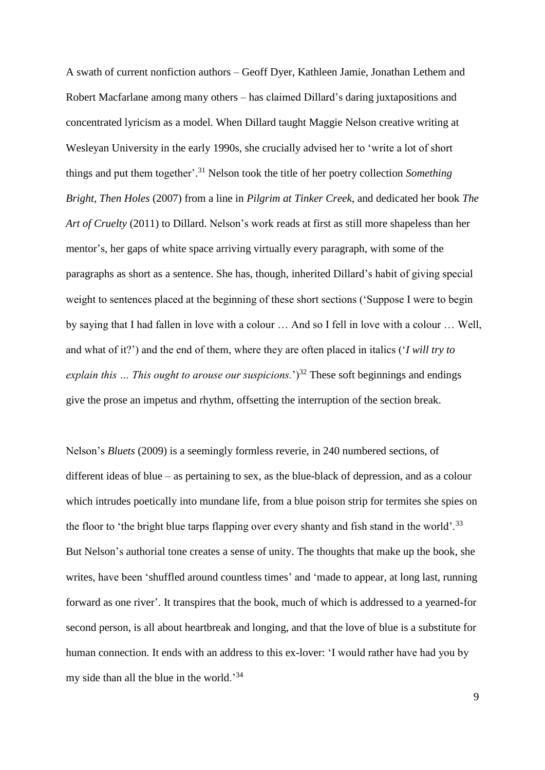A swath of current nonfiction authors – Geoff Dyer, Kathleen Jamie, Jonathan Lethem and Robert Macfarlane among many others – has claimed Dillard's daring juxtapositions and concentrated lyricism as a model. When Dillard taught Maggie Nelson creative writing at Wesleyan University in the early 1990s, she crucially advised her to 'write a lot of short things and put them together'. <sup>31</sup> Nelson took the title of her poetry collection *Something Bright, Then Holes* (2007) from a line in *Pilgrim at Tinker Creek*, and dedicated her book *The Art of Cruelty* (2011) to Dillard. Nelson's work reads at first as still more shapeless than her mentor's, her gaps of white space arriving virtually every paragraph, with some of the paragraphs as short as a sentence. She has, though, inherited Dillard's habit of giving special weight to sentences placed at the beginning of these short sections ('Suppose I were to begin by saying that I had fallen in love with a colour … And so I fell in love with a colour … Well, and what of it?') and the end of them, where they are often placed in italics ('*I will try to explain this ... This ought to arouse our suspicions.*<sup>33</sup> These soft beginnings and endings give the prose an impetus and rhythm, offsetting the interruption of the section break.

Nelson's *Bluets* (2009) is a seemingly formless reverie, in 240 numbered sections, of different ideas of blue – as pertaining to sex, as the blue-black of depression, and as a colour which intrudes poetically into mundane life, from a blue poison strip for termites she spies on the floor to 'the bright blue tarps flapping over every shanty and fish stand in the world'.<sup>33</sup> But Nelson's authorial tone creates a sense of unity. The thoughts that make up the book, she writes, have been 'shuffled around countless times' and 'made to appear, at long last, running forward as one river'. It transpires that the book, much of which is addressed to a yearned-for second person, is all about heartbreak and longing, and that the love of blue is a substitute for human connection. It ends with an address to this ex-lover: 'I would rather have had you by my side than all the blue in the world.'<sup>34</sup>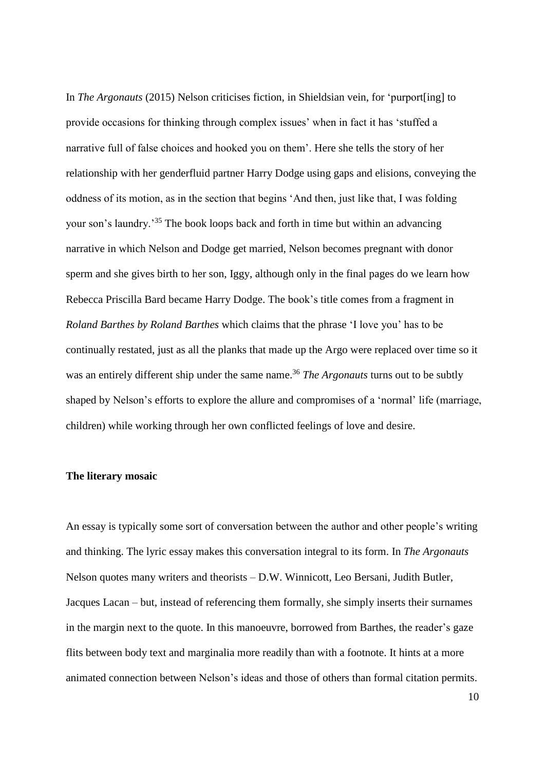In *The Argonauts* (2015) Nelson criticises fiction, in Shieldsian vein, for 'purport[ing] to provide occasions for thinking through complex issues' when in fact it has 'stuffed a narrative full of false choices and hooked you on them'. Here she tells the story of her relationship with her genderfluid partner Harry Dodge using gaps and elisions, conveying the oddness of its motion, as in the section that begins 'And then, just like that, I was folding your son's laundry.' <sup>35</sup> The book loops back and forth in time but within an advancing narrative in which Nelson and Dodge get married, Nelson becomes pregnant with donor sperm and she gives birth to her son, Iggy, although only in the final pages do we learn how Rebecca Priscilla Bard became Harry Dodge. The book's title comes from a fragment in *Roland Barthes by Roland Barthes* which claims that the phrase 'I love you' has to be continually restated, just as all the planks that made up the Argo were replaced over time so it was an entirely different ship under the same name. <sup>36</sup> *The Argonauts* turns out to be subtly shaped by Nelson's efforts to explore the allure and compromises of a 'normal' life (marriage, children) while working through her own conflicted feelings of love and desire.

# **The literary mosaic**

An essay is typically some sort of conversation between the author and other people's writing and thinking. The lyric essay makes this conversation integral to its form. In *The Argonauts* Nelson quotes many writers and theorists – D.W. Winnicott, Leo Bersani, Judith Butler, Jacques Lacan – but, instead of referencing them formally, she simply inserts their surnames in the margin next to the quote. In this manoeuvre, borrowed from Barthes, the reader's gaze flits between body text and marginalia more readily than with a footnote. It hints at a more animated connection between Nelson's ideas and those of others than formal citation permits.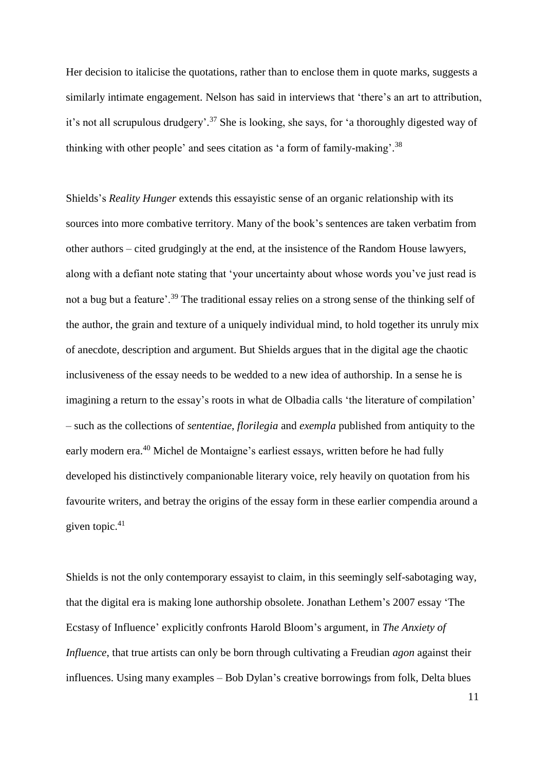Her decision to italicise the quotations, rather than to enclose them in quote marks, suggests a similarly intimate engagement. Nelson has said in interviews that 'there's an art to attribution, it's not all scrupulous drudgery'.<sup>37</sup> She is looking, she says, for 'a thoroughly digested way of thinking with other people' and sees citation as 'a form of family-making'.<sup>38</sup>

Shields's *Reality Hunger* extends this essayistic sense of an organic relationship with its sources into more combative territory. Many of the book's sentences are taken verbatim from other authors – cited grudgingly at the end, at the insistence of the Random House lawyers, along with a defiant note stating that 'your uncertainty about whose words you've just read is not a bug but a feature'.<sup>39</sup> The traditional essay relies on a strong sense of the thinking self of the author, the grain and texture of a uniquely individual mind, to hold together its unruly mix of anecdote, description and argument. But Shields argues that in the digital age the chaotic inclusiveness of the essay needs to be wedded to a new idea of authorship. In a sense he is imagining a return to the essay's roots in what de Olbadia calls 'the literature of compilation' – such as the collections of *sententiae*, *florilegia* and *exempla* published from antiquity to the early modern era.<sup>40</sup> Michel de Montaigne's earliest essays, written before he had fully developed his distinctively companionable literary voice, rely heavily on quotation from his favourite writers, and betray the origins of the essay form in these earlier compendia around a given topic.<sup>41</sup>

Shields is not the only contemporary essayist to claim, in this seemingly self-sabotaging way, that the digital era is making lone authorship obsolete. Jonathan Lethem's 2007 essay 'The Ecstasy of Influence' explicitly confronts Harold Bloom's argument, in *The Anxiety of Influence*, that true artists can only be born through cultivating a Freudian *agon* against their influences. Using many examples – Bob Dylan's creative borrowings from folk, Delta blues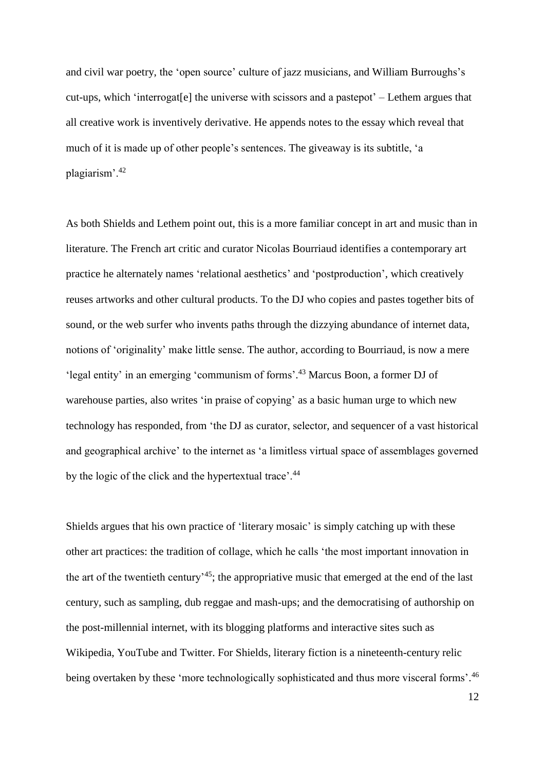and civil war poetry, the 'open source' culture of jazz musicians, and William Burroughs's cut-ups, which 'interrogat[e] the universe with scissors and a pastepot' – Lethem argues that all creative work is inventively derivative. He appends notes to the essay which reveal that much of it is made up of other people's sentences. The giveaway is its subtitle, 'a plagiarism'.<sup>42</sup>

As both Shields and Lethem point out, this is a more familiar concept in art and music than in literature. The French art critic and curator Nicolas Bourriaud identifies a contemporary art practice he alternately names 'relational aesthetics' and 'postproduction', which creatively reuses artworks and other cultural products. To the DJ who copies and pastes together bits of sound, or the web surfer who invents paths through the dizzying abundance of internet data, notions of 'originality' make little sense. The author, according to Bourriaud, is now a mere 'legal entity' in an emerging 'communism of forms'. <sup>43</sup> Marcus Boon, a former DJ of warehouse parties, also writes 'in praise of copying' as a basic human urge to which new technology has responded, from 'the DJ as curator, selector, and sequencer of a vast historical and geographical archive' to the internet as 'a limitless virtual space of assemblages governed by the logic of the click and the hypertextual trace'.<sup>44</sup>

Shields argues that his own practice of 'literary mosaic' is simply catching up with these other art practices: the tradition of collage, which he calls 'the most important innovation in the art of the twentieth century'<sup>45</sup>; the appropriative music that emerged at the end of the last century, such as sampling, dub reggae and mash-ups; and the democratising of authorship on the post-millennial internet, with its blogging platforms and interactive sites such as Wikipedia, YouTube and Twitter. For Shields, literary fiction is a nineteenth-century relic being overtaken by these 'more technologically sophisticated and thus more visceral forms'.<sup>46</sup>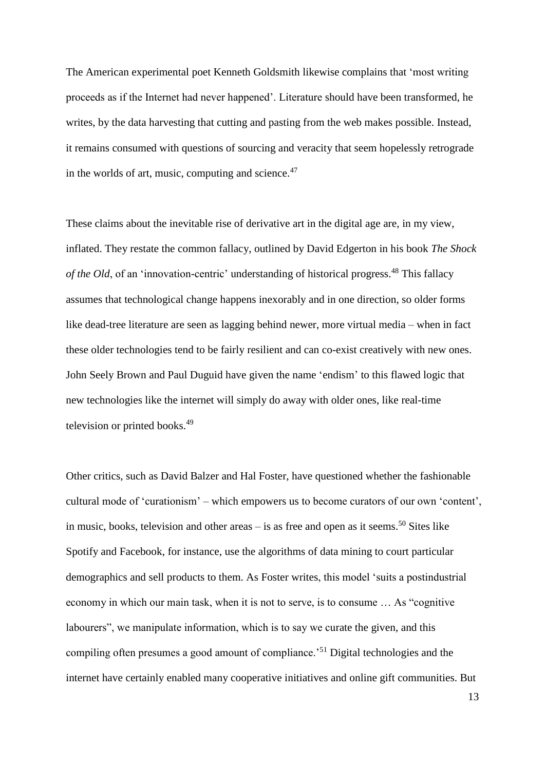The American experimental poet Kenneth Goldsmith likewise complains that 'most writing proceeds as if the Internet had never happened'. Literature should have been transformed, he writes, by the data harvesting that cutting and pasting from the web makes possible. Instead, it remains consumed with questions of sourcing and veracity that seem hopelessly retrograde in the worlds of art, music, computing and science. $47$ 

These claims about the inevitable rise of derivative art in the digital age are, in my view, inflated. They restate the common fallacy, outlined by David Edgerton in his book *The Shock of the Old*, of an 'innovation-centric' understanding of historical progress. <sup>48</sup> This fallacy assumes that technological change happens inexorably and in one direction, so older forms like dead-tree literature are seen as lagging behind newer, more virtual media – when in fact these older technologies tend to be fairly resilient and can co-exist creatively with new ones. John Seely Brown and Paul Duguid have given the name 'endism' to this flawed logic that new technologies like the internet will simply do away with older ones, like real-time television or printed books.<sup>49</sup>

Other critics, such as David Balzer and Hal Foster, have questioned whether the fashionable cultural mode of 'curationism' – which empowers us to become curators of our own 'content', in music, books, television and other areas – is as free and open as it seems. <sup>50</sup> Sites like Spotify and Facebook, for instance, use the algorithms of data mining to court particular demographics and sell products to them. As Foster writes, this model 'suits a postindustrial economy in which our main task, when it is not to serve, is to consume … As "cognitive labourers", we manipulate information, which is to say we curate the given, and this compiling often presumes a good amount of compliance.'<sup>51</sup> Digital technologies and the internet have certainly enabled many cooperative initiatives and online gift communities. But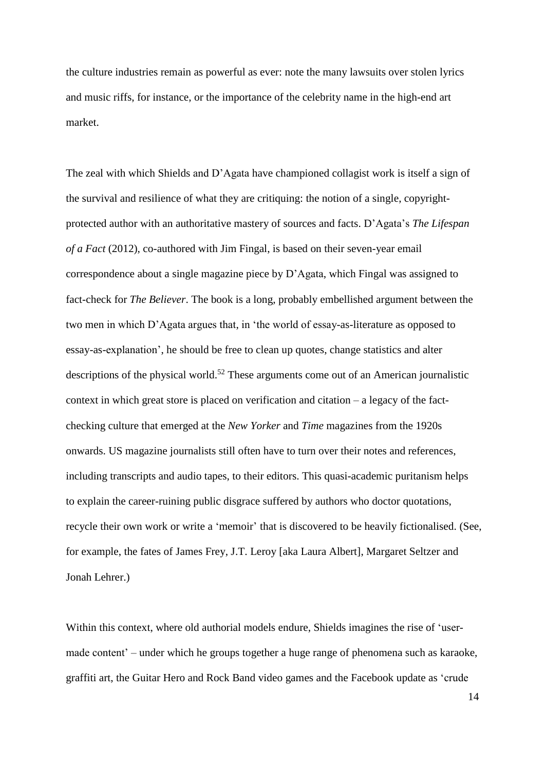the culture industries remain as powerful as ever: note the many lawsuits over stolen lyrics and music riffs, for instance, or the importance of the celebrity name in the high-end art market.

The zeal with which Shields and D'Agata have championed collagist work is itself a sign of the survival and resilience of what they are critiquing: the notion of a single, copyrightprotected author with an authoritative mastery of sources and facts. D'Agata's *The Lifespan of a Fact* (2012), co-authored with Jim Fingal, is based on their seven-year email correspondence about a single magazine piece by D'Agata, which Fingal was assigned to fact-check for *The Believer*. The book is a long, probably embellished argument between the two men in which D'Agata argues that, in 'the world of essay-as-literature as opposed to essay-as-explanation', he should be free to clean up quotes, change statistics and alter descriptions of the physical world.<sup>52</sup> These arguments come out of an American journalistic context in which great store is placed on verification and citation – a legacy of the factchecking culture that emerged at the *New Yorker* and *Time* magazines from the 1920s onwards. US magazine journalists still often have to turn over their notes and references, including transcripts and audio tapes, to their editors. This quasi-academic puritanism helps to explain the career-ruining public disgrace suffered by authors who doctor quotations, recycle their own work or write a 'memoir' that is discovered to be heavily fictionalised. (See, for example, the fates of James Frey, J.T. Leroy [aka Laura Albert], Margaret Seltzer and Jonah Lehrer.)

Within this context, where old authorial models endure, Shields imagines the rise of 'usermade content' – under which he groups together a huge range of phenomena such as karaoke, graffiti art, the Guitar Hero and Rock Band video games and the Facebook update as 'crude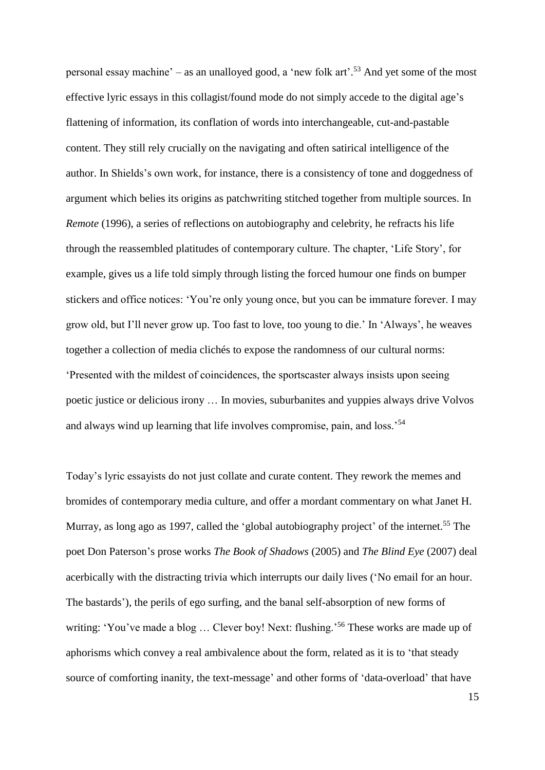personal essay machine' – as an unalloyed good, a 'new folk art'. <sup>53</sup> And yet some of the most effective lyric essays in this collagist/found mode do not simply accede to the digital age's flattening of information, its conflation of words into interchangeable, cut-and-pastable content. They still rely crucially on the navigating and often satirical intelligence of the author. In Shields's own work, for instance, there is a consistency of tone and doggedness of argument which belies its origins as patchwriting stitched together from multiple sources. In *Remote* (1996), a series of reflections on autobiography and celebrity, he refracts his life through the reassembled platitudes of contemporary culture. The chapter, 'Life Story', for example, gives us a life told simply through listing the forced humour one finds on bumper stickers and office notices: 'You're only young once, but you can be immature forever. I may grow old, but I'll never grow up. Too fast to love, too young to die.' In 'Always', he weaves together a collection of media clichés to expose the randomness of our cultural norms: 'Presented with the mildest of coincidences, the sportscaster always insists upon seeing poetic justice or delicious irony … In movies, suburbanites and yuppies always drive Volvos and always wind up learning that life involves compromise, pain, and loss.'<sup>54</sup>

Today's lyric essayists do not just collate and curate content. They rework the memes and bromides of contemporary media culture, and offer a mordant commentary on what Janet H. Murray, as long ago as 1997, called the 'global autobiography project' of the internet.<sup>55</sup> The poet Don Paterson's prose works *The Book of Shadows* (2005) and *The Blind Eye* (2007) deal acerbically with the distracting trivia which interrupts our daily lives ('No email for an hour. The bastards'), the perils of ego surfing, and the banal self-absorption of new forms of writing: 'You've made a blog ... Clever boy! Next: flushing.'<sup>56</sup> These works are made up of aphorisms which convey a real ambivalence about the form, related as it is to 'that steady source of comforting inanity, the text-message' and other forms of 'data-overload' that have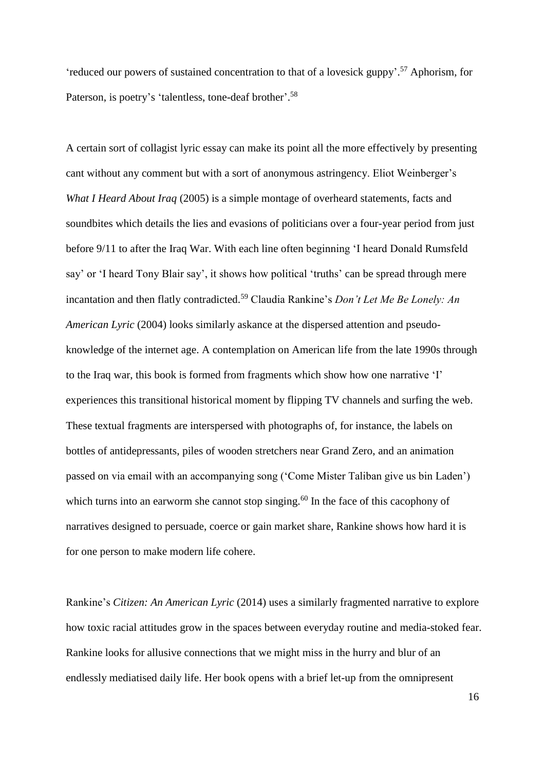'reduced our powers of sustained concentration to that of a lovesick guppy'. <sup>57</sup> Aphorism, for Paterson, is poetry's 'talentless, tone-deaf brother'.<sup>58</sup>

A certain sort of collagist lyric essay can make its point all the more effectively by presenting cant without any comment but with a sort of anonymous astringency. Eliot Weinberger's *What I Heard About Iraq* (2005) is a simple montage of overheard statements, facts and soundbites which details the lies and evasions of politicians over a four-year period from just before 9/11 to after the Iraq War. With each line often beginning 'I heard Donald Rumsfeld say' or 'I heard Tony Blair say', it shows how political 'truths' can be spread through mere incantation and then flatly contradicted.<sup>59</sup> Claudia Rankine's *Don't Let Me Be Lonely: An American Lyric* (2004) looks similarly askance at the dispersed attention and pseudoknowledge of the internet age. A contemplation on American life from the late 1990s through to the Iraq war, this book is formed from fragments which show how one narrative 'I' experiences this transitional historical moment by flipping TV channels and surfing the web. These textual fragments are interspersed with photographs of, for instance, the labels on bottles of antidepressants, piles of wooden stretchers near Grand Zero, and an animation passed on via email with an accompanying song ('Come Mister Taliban give us bin Laden') which turns into an earworm she cannot stop singing.<sup>60</sup> In the face of this cacophony of narratives designed to persuade, coerce or gain market share, Rankine shows how hard it is for one person to make modern life cohere.

Rankine's *Citizen: An American Lyric* (2014) uses a similarly fragmented narrative to explore how toxic racial attitudes grow in the spaces between everyday routine and media-stoked fear. Rankine looks for allusive connections that we might miss in the hurry and blur of an endlessly mediatised daily life. Her book opens with a brief let-up from the omnipresent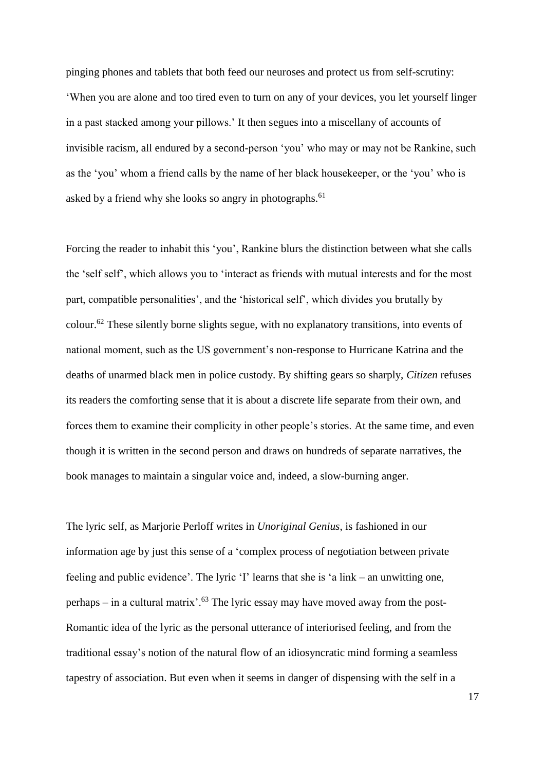pinging phones and tablets that both feed our neuroses and protect us from self-scrutiny: 'When you are alone and too tired even to turn on any of your devices, you let yourself linger in a past stacked among your pillows.' It then segues into a miscellany of accounts of invisible racism, all endured by a second-person 'you' who may or may not be Rankine, such as the 'you' whom a friend calls by the name of her black housekeeper, or the 'you' who is asked by a friend why she looks so angry in photographs.<sup>61</sup>

Forcing the reader to inhabit this 'you', Rankine blurs the distinction between what she calls the 'self self', which allows you to 'interact as friends with mutual interests and for the most part, compatible personalities', and the 'historical self', which divides you brutally by colour.<sup>62</sup> These silently borne slights segue, with no explanatory transitions, into events of national moment, such as the US government's non-response to Hurricane Katrina and the deaths of unarmed black men in police custody. By shifting gears so sharply, *Citizen* refuses its readers the comforting sense that it is about a discrete life separate from their own, and forces them to examine their complicity in other people's stories. At the same time, and even though it is written in the second person and draws on hundreds of separate narratives, the book manages to maintain a singular voice and, indeed, a slow-burning anger.

The lyric self, as Marjorie Perloff writes in *Unoriginal Genius*, is fashioned in our information age by just this sense of a 'complex process of negotiation between private feeling and public evidence'. The lyric 'I' learns that she is 'a link – an unwitting one, perhaps – in a cultural matrix'.<sup>63</sup> The lyric essay may have moved away from the post-Romantic idea of the lyric as the personal utterance of interiorised feeling, and from the traditional essay's notion of the natural flow of an idiosyncratic mind forming a seamless tapestry of association. But even when it seems in danger of dispensing with the self in a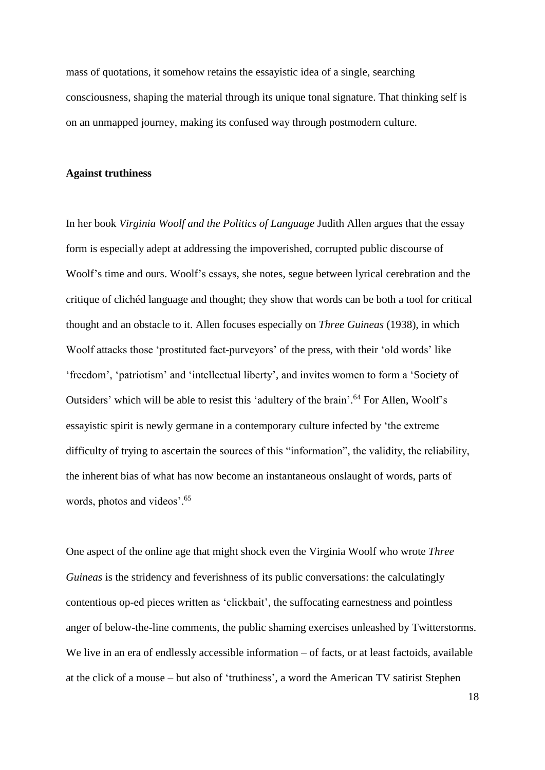mass of quotations, it somehow retains the essayistic idea of a single, searching consciousness, shaping the material through its unique tonal signature. That thinking self is on an unmapped journey, making its confused way through postmodern culture.

#### **Against truthiness**

In her book *Virginia Woolf and the Politics of Language* Judith Allen argues that the essay form is especially adept at addressing the impoverished, corrupted public discourse of Woolf's time and ours. Woolf's essays, she notes, segue between lyrical cerebration and the critique of clichéd language and thought; they show that words can be both a tool for critical thought and an obstacle to it. Allen focuses especially on *Three Guineas* (1938), in which Woolf attacks those 'prostituted fact-purveyors' of the press, with their 'old words' like 'freedom', 'patriotism' and 'intellectual liberty', and invites women to form a 'Society of Outsiders' which will be able to resist this 'adultery of the brain'. <sup>64</sup> For Allen, Woolf's essayistic spirit is newly germane in a contemporary culture infected by 'the extreme difficulty of trying to ascertain the sources of this "information", the validity, the reliability, the inherent bias of what has now become an instantaneous onslaught of words, parts of words, photos and videos'.<sup>65</sup>

One aspect of the online age that might shock even the Virginia Woolf who wrote *Three Guineas* is the stridency and feverishness of its public conversations: the calculatingly contentious op-ed pieces written as 'clickbait', the suffocating earnestness and pointless anger of below-the-line comments, the public shaming exercises unleashed by Twitterstorms. We live in an era of endlessly accessible information – of facts, or at least factoids, available at the click of a mouse – but also of 'truthiness', a word the American TV satirist Stephen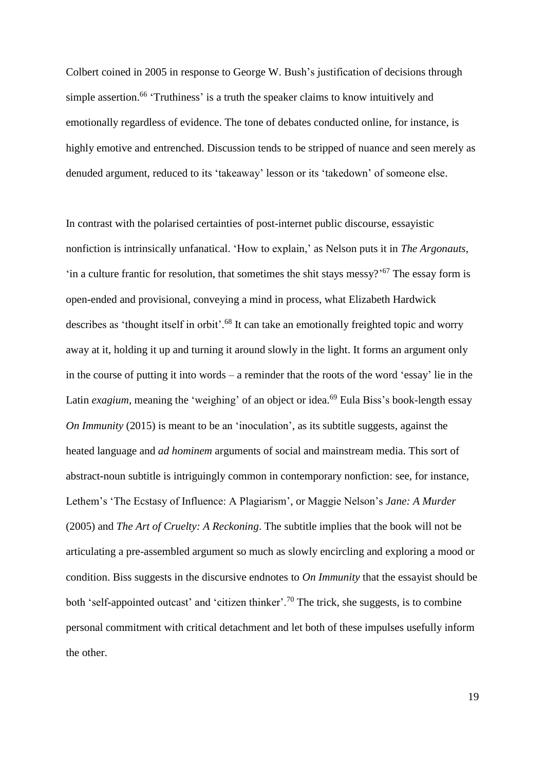Colbert coined in 2005 in response to George W. Bush's justification of decisions through simple assertion.<sup>66</sup> 'Truthiness' is a truth the speaker claims to know intuitively and emotionally regardless of evidence. The tone of debates conducted online, for instance, is highly emotive and entrenched. Discussion tends to be stripped of nuance and seen merely as denuded argument, reduced to its 'takeaway' lesson or its 'takedown' of someone else.

In contrast with the polarised certainties of post-internet public discourse, essayistic nonfiction is intrinsically unfanatical. 'How to explain,' as Nelson puts it in *The Argonauts*, 'in a culture frantic for resolution, that sometimes the shit stays messy?' <sup>67</sup> The essay form is open-ended and provisional, conveying a mind in process, what Elizabeth Hardwick describes as 'thought itself in orbit'.<sup>68</sup> It can take an emotionally freighted topic and worry away at it, holding it up and turning it around slowly in the light. It forms an argument only in the course of putting it into words – a reminder that the roots of the word 'essay' lie in the Latin *exagium*, meaning the 'weighing' of an object or idea.<sup>69</sup> Eula Biss's book-length essay *On Immunity* (2015) is meant to be an 'inoculation', as its subtitle suggests, against the heated language and *ad hominem* arguments of social and mainstream media. This sort of abstract-noun subtitle is intriguingly common in contemporary nonfiction: see, for instance, Lethem's 'The Ecstasy of Influence: A Plagiarism', or Maggie Nelson's *Jane: A Murder* (2005) and *The Art of Cruelty: A Reckoning*. The subtitle implies that the book will not be articulating a pre-assembled argument so much as slowly encircling and exploring a mood or condition. Biss suggests in the discursive endnotes to *On Immunity* that the essayist should be both 'self-appointed outcast' and 'citizen thinker'.<sup>70</sup> The trick, she suggests, is to combine personal commitment with critical detachment and let both of these impulses usefully inform the other.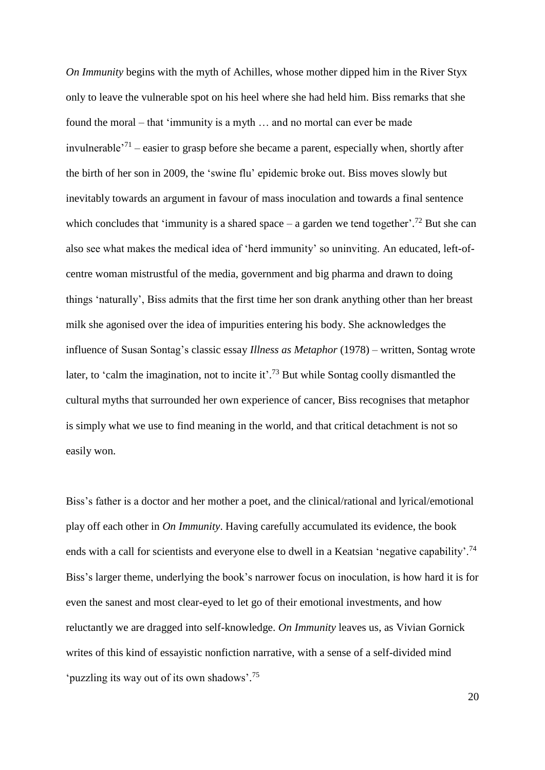*On Immunity* begins with the myth of Achilles, whose mother dipped him in the River Styx only to leave the vulnerable spot on his heel where she had held him. Biss remarks that she found the moral – that 'immunity is a myth … and no mortal can ever be made invulnerable<sup> $271$ </sup> – easier to grasp before she became a parent, especially when, shortly after the birth of her son in 2009, the 'swine flu' epidemic broke out. Biss moves slowly but inevitably towards an argument in favour of mass inoculation and towards a final sentence which concludes that 'immunity is a shared space  $-$  a garden we tend together'.<sup>72</sup> But she can also see what makes the medical idea of 'herd immunity' so uninviting. An educated, left-ofcentre woman mistrustful of the media, government and big pharma and drawn to doing things 'naturally', Biss admits that the first time her son drank anything other than her breast milk she agonised over the idea of impurities entering his body. She acknowledges the influence of Susan Sontag's classic essay *Illness as Metaphor* (1978) – written, Sontag wrote later, to 'calm the imagination, not to incite it'.<sup>73</sup> But while Sontag coolly dismantled the cultural myths that surrounded her own experience of cancer, Biss recognises that metaphor is simply what we use to find meaning in the world, and that critical detachment is not so easily won.

Biss's father is a doctor and her mother a poet, and the clinical/rational and lyrical/emotional play off each other in *On Immunity*. Having carefully accumulated its evidence, the book ends with a call for scientists and everyone else to dwell in a Keatsian 'negative capability'.<sup>74</sup> Biss's larger theme, underlying the book's narrower focus on inoculation, is how hard it is for even the sanest and most clear-eyed to let go of their emotional investments, and how reluctantly we are dragged into self-knowledge. *On Immunity* leaves us, as Vivian Gornick writes of this kind of essayistic nonfiction narrative, with a sense of a self-divided mind 'puzzling its way out of its own shadows'. 75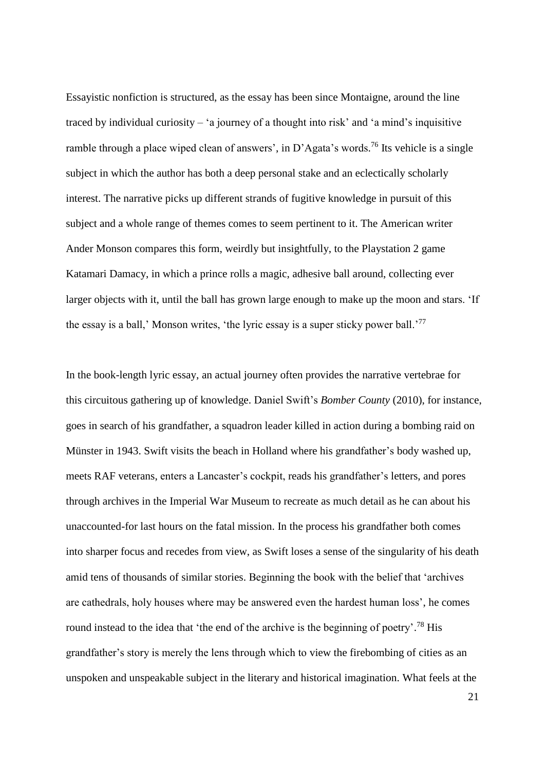Essayistic nonfiction is structured, as the essay has been since Montaigne, around the line traced by individual curiosity – 'a journey of a thought into risk' and 'a mind's inquisitive ramble through a place wiped clean of answers', in D'Agata's words.<sup>76</sup> Its vehicle is a single subject in which the author has both a deep personal stake and an eclectically scholarly interest. The narrative picks up different strands of fugitive knowledge in pursuit of this subject and a whole range of themes comes to seem pertinent to it. The American writer Ander Monson compares this form, weirdly but insightfully, to the Playstation 2 game Katamari Damacy, in which a prince rolls a magic, adhesive ball around, collecting ever larger objects with it, until the ball has grown large enough to make up the moon and stars. 'If the essay is a ball,' Monson writes, 'the lyric essay is a super sticky power ball.'<sup>77</sup>

In the book-length lyric essay, an actual journey often provides the narrative vertebrae for this circuitous gathering up of knowledge. Daniel Swift's *Bomber County* (2010), for instance, goes in search of his grandfather, a squadron leader killed in action during a bombing raid on Münster in 1943. Swift visits the beach in Holland where his grandfather's body washed up, meets RAF veterans, enters a Lancaster's cockpit, reads his grandfather's letters, and pores through archives in the Imperial War Museum to recreate as much detail as he can about his unaccounted-for last hours on the fatal mission. In the process his grandfather both comes into sharper focus and recedes from view, as Swift loses a sense of the singularity of his death amid tens of thousands of similar stories. Beginning the book with the belief that 'archives are cathedrals, holy houses where may be answered even the hardest human loss', he comes round instead to the idea that 'the end of the archive is the beginning of poetry'.<sup>78</sup> His grandfather's story is merely the lens through which to view the firebombing of cities as an unspoken and unspeakable subject in the literary and historical imagination. What feels at the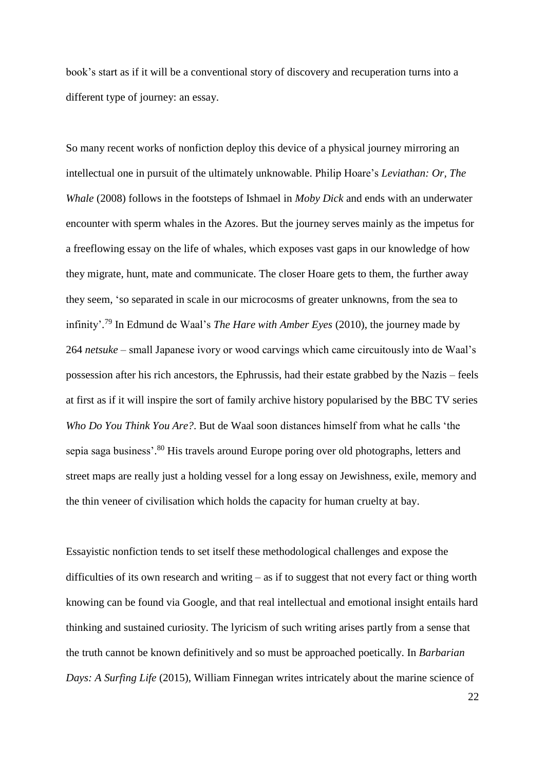book's start as if it will be a conventional story of discovery and recuperation turns into a different type of journey: an essay.

So many recent works of nonfiction deploy this device of a physical journey mirroring an intellectual one in pursuit of the ultimately unknowable. Philip Hoare's *Leviathan: Or, The Whale* (2008) follows in the footsteps of Ishmael in *Moby Dick* and ends with an underwater encounter with sperm whales in the Azores. But the journey serves mainly as the impetus for a freeflowing essay on the life of whales, which exposes vast gaps in our knowledge of how they migrate, hunt, mate and communicate. The closer Hoare gets to them, the further away they seem, 'so separated in scale in our microcosms of greater unknowns, from the sea to infinity'. <sup>79</sup> In Edmund de Waal's *The Hare with Amber Eyes* (2010), the journey made by 264 *netsuke* – small Japanese ivory or wood carvings which came circuitously into de Waal's possession after his rich ancestors, the Ephrussis, had their estate grabbed by the Nazis – feels at first as if it will inspire the sort of family archive history popularised by the BBC TV series *Who Do You Think You Are?*. But de Waal soon distances himself from what he calls 'the sepia saga business'.<sup>80</sup> His travels around Europe poring over old photographs, letters and street maps are really just a holding vessel for a long essay on Jewishness, exile, memory and the thin veneer of civilisation which holds the capacity for human cruelty at bay.

Essayistic nonfiction tends to set itself these methodological challenges and expose the difficulties of its own research and writing – as if to suggest that not every fact or thing worth knowing can be found via Google, and that real intellectual and emotional insight entails hard thinking and sustained curiosity. The lyricism of such writing arises partly from a sense that the truth cannot be known definitively and so must be approached poetically. In *Barbarian Days: A Surfing Life* (2015), William Finnegan writes intricately about the marine science of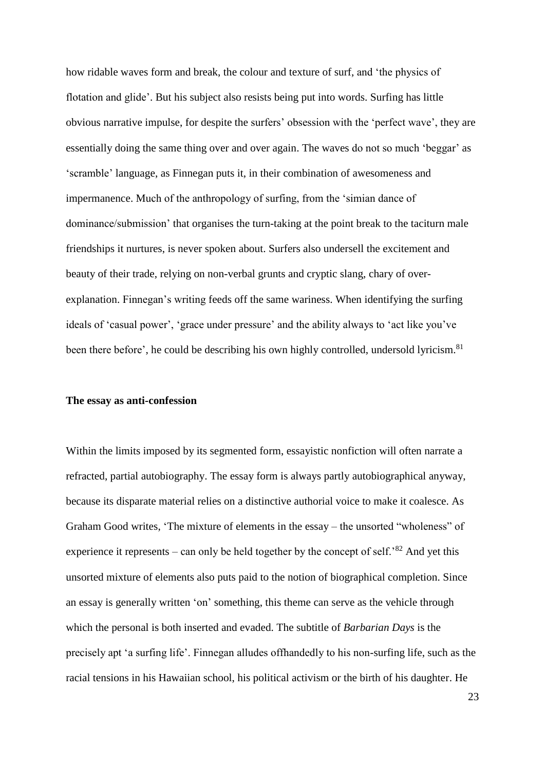how ridable waves form and break, the colour and texture of surf, and 'the physics of flotation and glide'. But his subject also resists being put into words. Surfing has little obvious narrative impulse, for despite the surfers' obsession with the 'perfect wave', they are essentially doing the same thing over and over again. The waves do not so much 'beggar' as 'scramble' language, as Finnegan puts it, in their combination of awesomeness and impermanence. Much of the anthropology of surfing, from the 'simian dance of dominance/submission' that organises the turn-taking at the point break to the taciturn male friendships it nurtures, is never spoken about. Surfers also undersell the excitement and beauty of their trade, relying on non-verbal grunts and cryptic slang, chary of overexplanation. Finnegan's writing feeds off the same wariness. When identifying the surfing ideals of 'casual power', 'grace under pressure' and the ability always to 'act like you've been there before', he could be describing his own highly controlled, undersold lyricism.<sup>81</sup>

### **The essay as anti-confession**

Within the limits imposed by its segmented form, essayistic nonfiction will often narrate a refracted, partial autobiography. The essay form is always partly autobiographical anyway, because its disparate material relies on a distinctive authorial voice to make it coalesce. As Graham Good writes, 'The mixture of elements in the essay – the unsorted "wholeness" of experience it represents – can only be held together by the concept of self.<sup>82</sup> And yet this unsorted mixture of elements also puts paid to the notion of biographical completion. Since an essay is generally written 'on' something, this theme can serve as the vehicle through which the personal is both inserted and evaded. The subtitle of *Barbarian Days* is the precisely apt 'a surfing life'. Finnegan alludes offhandedly to his non-surfing life, such as the racial tensions in his Hawaiian school, his political activism or the birth of his daughter. He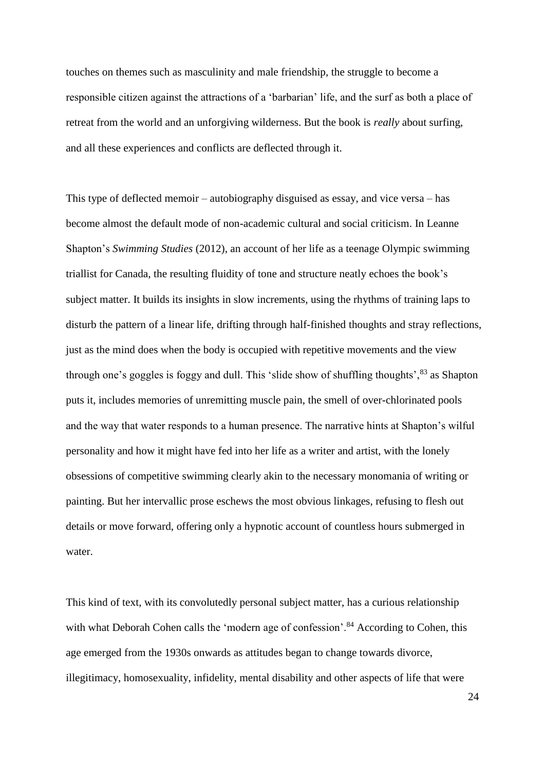touches on themes such as masculinity and male friendship, the struggle to become a responsible citizen against the attractions of a 'barbarian' life, and the surf as both a place of retreat from the world and an unforgiving wilderness. But the book is *really* about surfing, and all these experiences and conflicts are deflected through it.

This type of deflected memoir – autobiography disguised as essay, and vice versa – has become almost the default mode of non-academic cultural and social criticism. In Leanne Shapton's *Swimming Studies* (2012), an account of her life as a teenage Olympic swimming triallist for Canada, the resulting fluidity of tone and structure neatly echoes the book's subject matter. It builds its insights in slow increments, using the rhythms of training laps to disturb the pattern of a linear life, drifting through half-finished thoughts and stray reflections, just as the mind does when the body is occupied with repetitive movements and the view through one's goggles is foggy and dull. This 'slide show of shuffling thoughts',<sup>83</sup> as Shapton puts it, includes memories of unremitting muscle pain, the smell of over-chlorinated pools and the way that water responds to a human presence. The narrative hints at Shapton's wilful personality and how it might have fed into her life as a writer and artist, with the lonely obsessions of competitive swimming clearly akin to the necessary monomania of writing or painting. But her intervallic prose eschews the most obvious linkages, refusing to flesh out details or move forward, offering only a hypnotic account of countless hours submerged in water.

This kind of text, with its convolutedly personal subject matter, has a curious relationship with what Deborah Cohen calls the 'modern age of confession'.<sup>84</sup> According to Cohen, this age emerged from the 1930s onwards as attitudes began to change towards divorce, illegitimacy, homosexuality, infidelity, mental disability and other aspects of life that were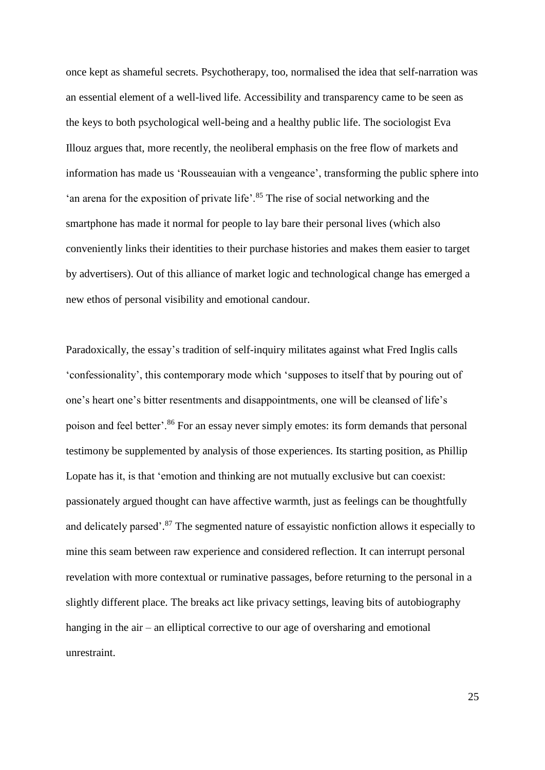once kept as shameful secrets. Psychotherapy, too, normalised the idea that self-narration was an essential element of a well-lived life. Accessibility and transparency came to be seen as the keys to both psychological well-being and a healthy public life. The sociologist Eva Illouz argues that, more recently, the neoliberal emphasis on the free flow of markets and information has made us 'Rousseauian with a vengeance', transforming the public sphere into 'an arena for the exposition of private life'.<sup>85</sup> The rise of social networking and the smartphone has made it normal for people to lay bare their personal lives (which also conveniently links their identities to their purchase histories and makes them easier to target by advertisers). Out of this alliance of market logic and technological change has emerged a new ethos of personal visibility and emotional candour.

Paradoxically, the essay's tradition of self-inquiry militates against what Fred Inglis calls 'confessionality', this contemporary mode which 'supposes to itself that by pouring out of one's heart one's bitter resentments and disappointments, one will be cleansed of life's poison and feel better'.<sup>86</sup> For an essay never simply emotes: its form demands that personal testimony be supplemented by analysis of those experiences. Its starting position, as Phillip Lopate has it, is that 'emotion and thinking are not mutually exclusive but can coexist: passionately argued thought can have affective warmth, just as feelings can be thoughtfully and delicately parsed'.<sup>87</sup> The segmented nature of essayistic nonfiction allows it especially to mine this seam between raw experience and considered reflection. It can interrupt personal revelation with more contextual or ruminative passages, before returning to the personal in a slightly different place. The breaks act like privacy settings, leaving bits of autobiography hanging in the air – an elliptical corrective to our age of oversharing and emotional unrestraint.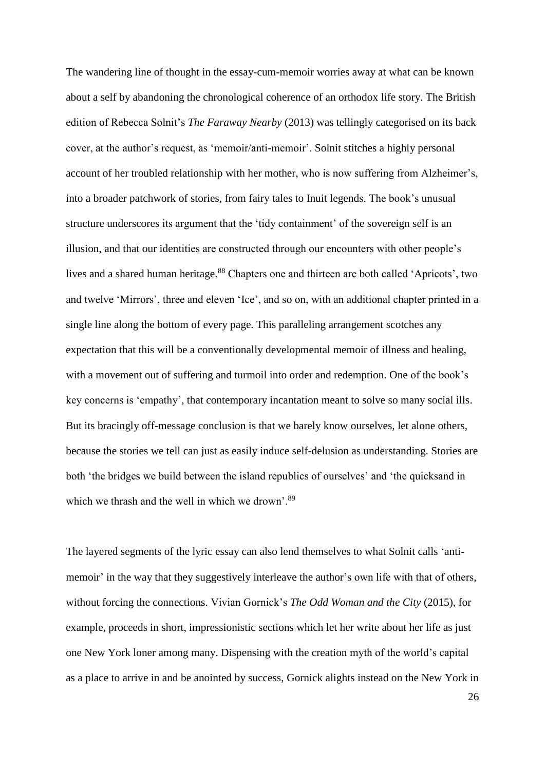The wandering line of thought in the essay-cum-memoir worries away at what can be known about a self by abandoning the chronological coherence of an orthodox life story. The British edition of Rebecca Solnit's *The Faraway Nearby* (2013) was tellingly categorised on its back cover, at the author's request, as 'memoir/anti-memoir'. Solnit stitches a highly personal account of her troubled relationship with her mother, who is now suffering from Alzheimer's, into a broader patchwork of stories, from fairy tales to Inuit legends. The book's unusual structure underscores its argument that the 'tidy containment' of the sovereign self is an illusion, and that our identities are constructed through our encounters with other people's lives and a shared human heritage.<sup>88</sup> Chapters one and thirteen are both called 'Apricots', two and twelve 'Mirrors', three and eleven 'Ice', and so on, with an additional chapter printed in a single line along the bottom of every page. This paralleling arrangement scotches any expectation that this will be a conventionally developmental memoir of illness and healing, with a movement out of suffering and turmoil into order and redemption. One of the book's key concerns is 'empathy', that contemporary incantation meant to solve so many social ills. But its bracingly off-message conclusion is that we barely know ourselves, let alone others, because the stories we tell can just as easily induce self-delusion as understanding. Stories are both 'the bridges we build between the island republics of ourselves' and 'the quicksand in which we thrash and the well in which we drown'.<sup>89</sup>

The layered segments of the lyric essay can also lend themselves to what Solnit calls 'antimemoir' in the way that they suggestively interleave the author's own life with that of others, without forcing the connections. Vivian Gornick's *The Odd Woman and the City* (2015), for example, proceeds in short, impressionistic sections which let her write about her life as just one New York loner among many. Dispensing with the creation myth of the world's capital as a place to arrive in and be anointed by success, Gornick alights instead on the New York in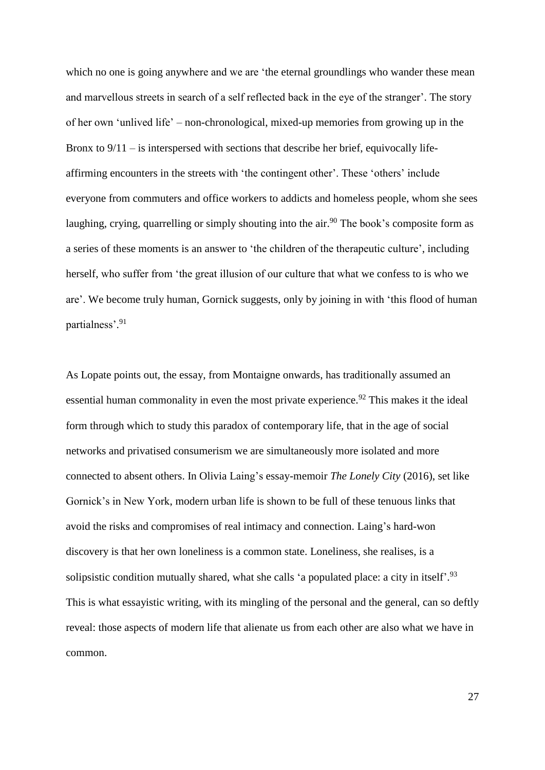which no one is going anywhere and we are 'the eternal groundlings who wander these mean and marvellous streets in search of a self reflected back in the eye of the stranger'. The story of her own 'unlived life' – non-chronological, mixed-up memories from growing up in the Bronx to  $9/11 -$  is interspersed with sections that describe her brief, equivocally lifeaffirming encounters in the streets with 'the contingent other'. These 'others' include everyone from commuters and office workers to addicts and homeless people, whom she sees laughing, crying, quarrelling or simply shouting into the air.<sup>90</sup> The book's composite form as a series of these moments is an answer to 'the children of the therapeutic culture', including herself, who suffer from 'the great illusion of our culture that what we confess to is who we are'. We become truly human, Gornick suggests, only by joining in with 'this flood of human partialness'. 91

As Lopate points out, the essay, from Montaigne onwards, has traditionally assumed an essential human commonality in even the most private experience.<sup>92</sup> This makes it the ideal form through which to study this paradox of contemporary life, that in the age of social networks and privatised consumerism we are simultaneously more isolated and more connected to absent others. In Olivia Laing's essay-memoir *The Lonely City* (2016), set like Gornick's in New York, modern urban life is shown to be full of these tenuous links that avoid the risks and compromises of real intimacy and connection. Laing's hard-won discovery is that her own loneliness is a common state. Loneliness, she realises, is a solipsistic condition mutually shared, what she calls 'a populated place: a city in itself'.<sup>93</sup> This is what essayistic writing, with its mingling of the personal and the general, can so deftly reveal: those aspects of modern life that alienate us from each other are also what we have in common.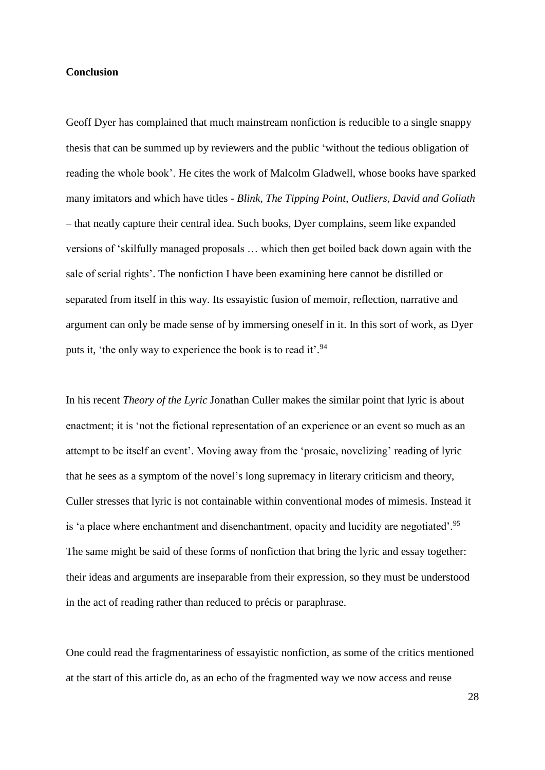# **Conclusion**

Geoff Dyer has complained that much mainstream nonfiction is reducible to a single snappy thesis that can be summed up by reviewers and the public 'without the tedious obligation of reading the whole book'. He cites the work of Malcolm Gladwell, whose books have sparked many imitators and which have titles - *Blink*, *The Tipping Point*, *Outliers*, *David and Goliath* – that neatly capture their central idea. Such books, Dyer complains, seem like expanded versions of 'skilfully managed proposals … which then get boiled back down again with the sale of serial rights'. The nonfiction I have been examining here cannot be distilled or separated from itself in this way. Its essayistic fusion of memoir, reflection, narrative and argument can only be made sense of by immersing oneself in it. In this sort of work, as Dyer puts it, 'the only way to experience the book is to read it'.<sup>94</sup>

In his recent *Theory of the Lyric* Jonathan Culler makes the similar point that lyric is about enactment; it is 'not the fictional representation of an experience or an event so much as an attempt to be itself an event'. Moving away from the 'prosaic, novelizing' reading of lyric that he sees as a symptom of the novel's long supremacy in literary criticism and theory, Culler stresses that lyric is not containable within conventional modes of mimesis. Instead it is 'a place where enchantment and disenchantment, opacity and lucidity are negotiated'. 95 The same might be said of these forms of nonfiction that bring the lyric and essay together: their ideas and arguments are inseparable from their expression, so they must be understood in the act of reading rather than reduced to précis or paraphrase.

One could read the fragmentariness of essayistic nonfiction, as some of the critics mentioned at the start of this article do, as an echo of the fragmented way we now access and reuse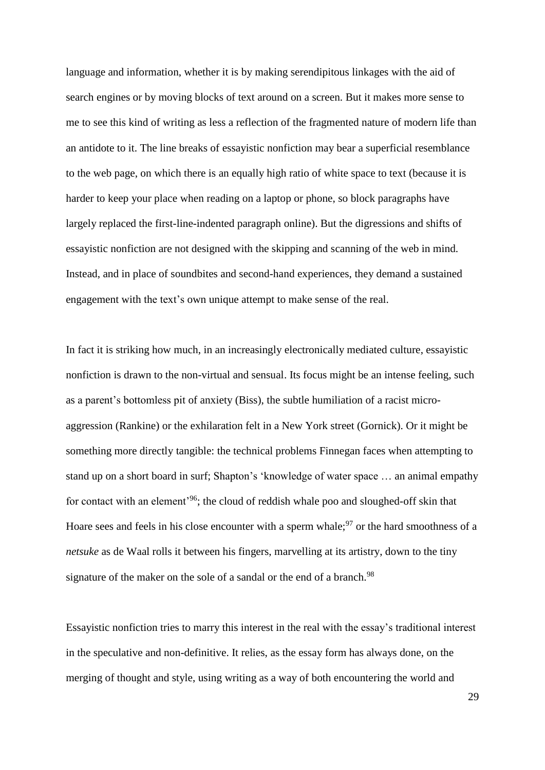language and information, whether it is by making serendipitous linkages with the aid of search engines or by moving blocks of text around on a screen. But it makes more sense to me to see this kind of writing as less a reflection of the fragmented nature of modern life than an antidote to it. The line breaks of essayistic nonfiction may bear a superficial resemblance to the web page, on which there is an equally high ratio of white space to text (because it is harder to keep your place when reading on a laptop or phone, so block paragraphs have largely replaced the first-line-indented paragraph online). But the digressions and shifts of essayistic nonfiction are not designed with the skipping and scanning of the web in mind. Instead, and in place of soundbites and second-hand experiences, they demand a sustained engagement with the text's own unique attempt to make sense of the real.

In fact it is striking how much, in an increasingly electronically mediated culture, essayistic nonfiction is drawn to the non-virtual and sensual. Its focus might be an intense feeling, such as a parent's bottomless pit of anxiety (Biss), the subtle humiliation of a racist microaggression (Rankine) or the exhilaration felt in a New York street (Gornick). Or it might be something more directly tangible: the technical problems Finnegan faces when attempting to stand up on a short board in surf; Shapton's 'knowledge of water space … an animal empathy for contact with an element'<sup>96</sup>; the cloud of reddish whale poo and sloughed-off skin that Hoare sees and feels in his close encounter with a sperm whale; $\frac{97}{7}$  or the hard smoothness of a *netsuke* as de Waal rolls it between his fingers, marvelling at its artistry, down to the tiny signature of the maker on the sole of a sandal or the end of a branch.<sup>98</sup>

Essayistic nonfiction tries to marry this interest in the real with the essay's traditional interest in the speculative and non-definitive. It relies, as the essay form has always done, on the merging of thought and style, using writing as a way of both encountering the world and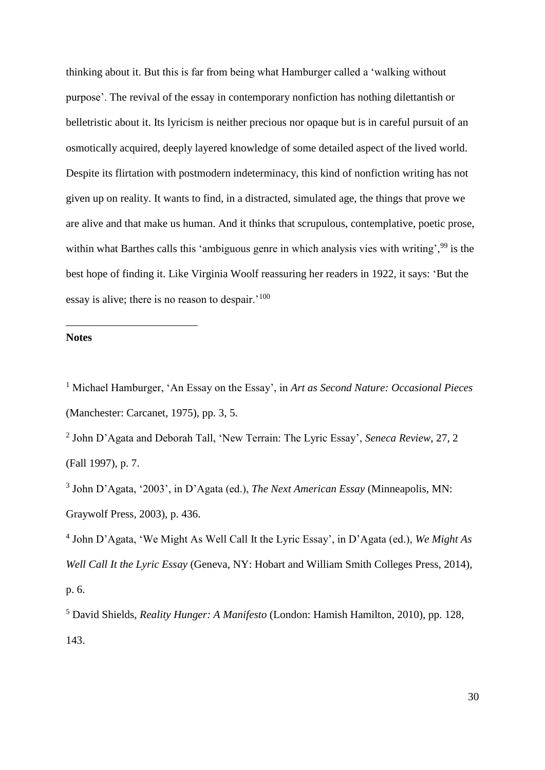thinking about it. But this is far from being what Hamburger called a 'walking without purpose'. The revival of the essay in contemporary nonfiction has nothing dilettantish or belletristic about it. Its lyricism is neither precious nor opaque but is in careful pursuit of an osmotically acquired, deeply layered knowledge of some detailed aspect of the lived world. Despite its flirtation with postmodern indeterminacy, this kind of nonfiction writing has not given up on reality. It wants to find, in a distracted, simulated age, the things that prove we are alive and that make us human. And it thinks that scrupulous, contemplative, poetic prose, within what Barthes calls this 'ambiguous genre in which analysis vies with writing', <sup>99</sup> is the best hope of finding it. Like Virginia Woolf reassuring her readers in 1922, it says: 'But the essay is alive; there is no reason to despair.'<sup>100</sup>

# **Notes**

1

<sup>1</sup> Michael Hamburger, 'An Essay on the Essay', in *Art as Second Nature: Occasional Pieces* (Manchester: Carcanet, 1975), pp. 3, 5.

2 John D'Agata and Deborah Tall, 'New Terrain: The Lyric Essay', *Seneca Review*, 27, 2 (Fall 1997), p. 7.

3 John D'Agata, '2003', in D'Agata (ed.), *The Next American Essay* (Minneapolis, MN: Graywolf Press, 2003), p. 436.

4 John D'Agata, 'We Might As Well Call It the Lyric Essay', in D'Agata (ed.), *We Might As Well Call It the Lyric Essay* (Geneva, NY: Hobart and William Smith Colleges Press, 2014), p. 6.

<sup>5</sup> David Shields, *Reality Hunger: A Manifesto* (London: Hamish Hamilton, 2010), pp. 128, 143.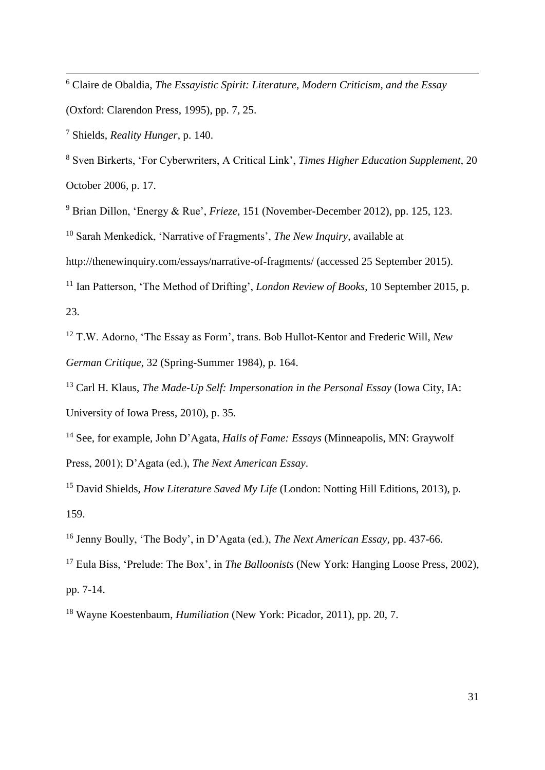<sup>6</sup> Claire de Obaldia, *The Essayistic Spirit: Literature, Modern Criticism, and the Essay* 

(Oxford: Clarendon Press, 1995), pp. 7, 25.

<sup>7</sup> Shields, *Reality Hunger*, p. 140.

<u>.</u>

<sup>8</sup> Sven Birkerts, 'For Cyberwriters, A Critical Link', *Times Higher Education Supplement*, 20 October 2006, p. 17.

<sup>9</sup> Brian Dillon, 'Energy & Rue', *Frieze*, 151 (November-December 2012), pp. 125, 123.

<sup>10</sup> Sarah Menkedick, 'Narrative of Fragments', *The New Inquiry*, available at

http://thenewinquiry.com/essays/narrative-of-fragments/ (accessed 25 September 2015).

<sup>11</sup> Ian Patterson, 'The Method of Drifting', *London Review of Books*, 10 September 2015, p. 23.

<sup>12</sup> T.W. Adorno, 'The Essay as Form', trans. Bob Hullot-Kentor and Frederic Will, *New German Critique*, 32 (Spring-Summer 1984), p. 164.

<sup>13</sup> Carl H. Klaus, *The Made-Up Self: Impersonation in the Personal Essay* (Iowa City, IA: University of Iowa Press, 2010), p. 35.

<sup>14</sup> See, for example, John D'Agata, *Halls of Fame: Essays* (Minneapolis, MN: Graywolf Press, 2001); D'Agata (ed.), *The Next American Essay*.

<sup>15</sup> David Shields, *How Literature Saved My Life* (London: Notting Hill Editions, 2013), p. 159.

<sup>16</sup> Jenny Boully, 'The Body', in D'Agata (ed.), *The Next American Essay*, pp. 437-66.

<sup>17</sup> Eula Biss, 'Prelude: The Box', in *The Balloonists* (New York: Hanging Loose Press, 2002), pp. 7-14.

<sup>18</sup> Wayne Koestenbaum, *Humiliation* (New York: Picador, 2011), pp. 20, 7.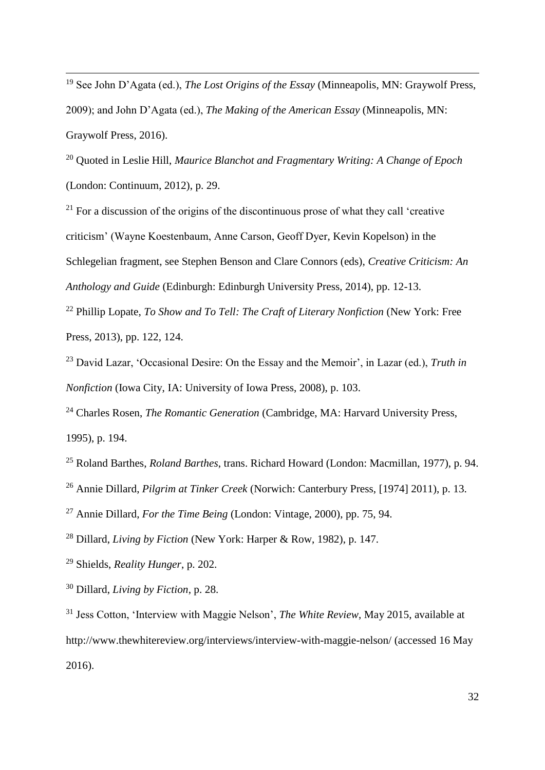<sup>19</sup> See John D'Agata (ed.), *The Lost Origins of the Essay* (Minneapolis, MN: Graywolf Press, 2009); and John D'Agata (ed.), *The Making of the American Essay* (Minneapolis, MN: Graywolf Press, 2016).

<sup>20</sup> Quoted in Leslie Hill, *Maurice Blanchot and Fragmentary Writing: A Change of Epoch*  (London: Continuum, 2012), p. 29.

 $21$  For a discussion of the origins of the discontinuous prose of what they call 'creative criticism' (Wayne Koestenbaum, Anne Carson, Geoff Dyer, Kevin Kopelson) in the Schlegelian fragment, see Stephen Benson and Clare Connors (eds), *Creative Criticism: An Anthology and Guide* (Edinburgh: Edinburgh University Press, 2014), pp. 12-13.

<sup>22</sup> Phillip Lopate, *To Show and To Tell: The Craft of Literary Nonfiction* (New York: Free Press, 2013), pp. 122, 124.

<sup>23</sup> David Lazar, 'Occasional Desire: On the Essay and the Memoir', in Lazar (ed.), *Truth in Nonfiction* (Iowa City, IA: University of Iowa Press, 2008), p. 103.

<sup>24</sup> Charles Rosen, *The Romantic Generation* (Cambridge, MA: Harvard University Press, 1995), p. 194.

<sup>25</sup> Roland Barthes, *Roland Barthes*, trans. Richard Howard (London: Macmillan, 1977), p. 94. <sup>26</sup> Annie Dillard, *Pilgrim at Tinker Creek* (Norwich: Canterbury Press, [1974] 2011), p. 13.

<sup>27</sup> Annie Dillard, *For the Time Being* (London: Vintage, 2000), pp. 75, 94.

<sup>28</sup> Dillard, *Living by Fiction* (New York: Harper & Row, 1982), p. 147.

<sup>29</sup> Shields, *Reality Hunger*, p. 202.

<u>.</u>

<sup>30</sup> Dillard, *Living by Fiction*, p. 28.

<sup>31</sup> Jess Cotton, 'Interview with Maggie Nelson', *The White Review*, May 2015, available at http://www.thewhitereview.org/interviews/interview-with-maggie-nelson/ (accessed 16 May 2016).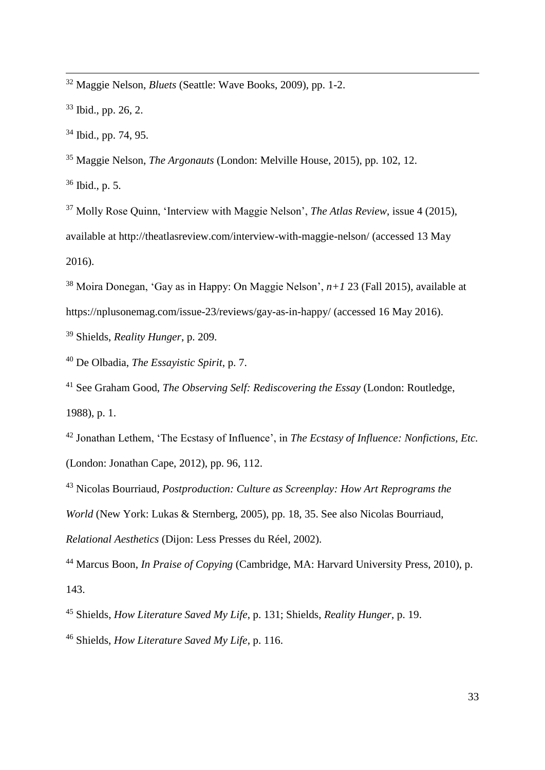Maggie Nelson, *Bluets* (Seattle: Wave Books, 2009), pp. 1-2.

Ibid., pp. 26, 2.

<u>.</u>

Ibid., pp. 74, 95.

Maggie Nelson, *The Argonauts* (London: Melville House, 2015), pp. 102, 12.

Ibid., p. 5.

 Molly Rose Quinn, 'Interview with Maggie Nelson', *The Atlas Review*, issue 4 (2015), available at http://theatlasreview.com/interview-with-maggie-nelson/ (accessed 13 May 2016).

 Moira Donegan, 'Gay as in Happy: On Maggie Nelson', *n+1* 23 (Fall 2015), available at https://nplusonemag.com/issue-23/reviews/gay-as-in-happy/ (accessed 16 May 2016).

Shields, *Reality Hunger*, p. 209.

De Olbadia, *The Essayistic Spirit*, p. 7.

 See Graham Good, *The Observing Self: Rediscovering the Essay* (London: Routledge, 1988), p. 1.

 Jonathan Lethem, 'The Ecstasy of Influence', in *The Ecstasy of Influence: Nonfictions, Etc.*  (London: Jonathan Cape, 2012), pp. 96, 112.

 Nicolas Bourriaud, *Postproduction: Culture as Screenplay: How Art Reprograms the World* (New York: Lukas & Sternberg, 2005), pp. 18, 35. See also Nicolas Bourriaud, *Relational Aesthetics* (Dijon: Less Presses du Réel*,* 2002).

 Marcus Boon, *In Praise of Copying* (Cambridge, MA: Harvard University Press, 2010), p. 143.

Shields, *How Literature Saved My Life*, p. 131; Shields, *Reality Hunger*, p. 19.

Shields, *How Literature Saved My Life*, p. 116.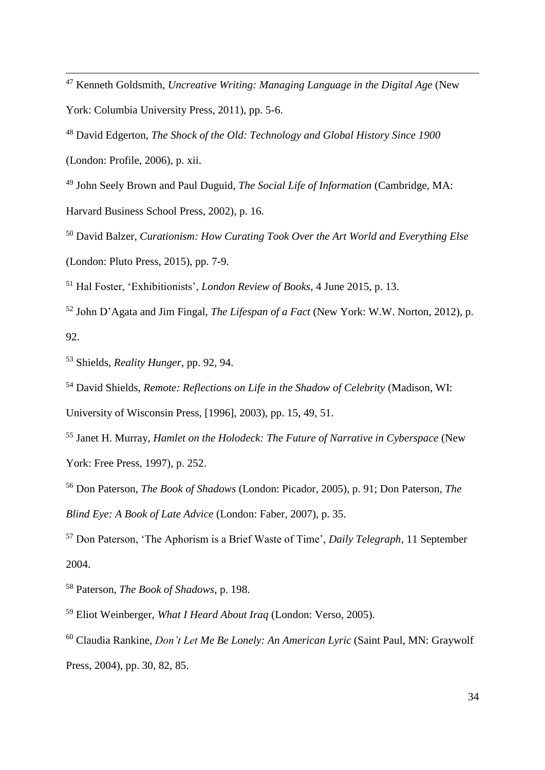<sup>48</sup> David Edgerton, *The Shock of the Old: Technology and Global History Since 1900*  (London: Profile, 2006), p. xii.

<sup>49</sup> John Seely Brown and Paul Duguid, *The Social Life of Information* (Cambridge, MA: Harvard Business School Press, 2002), p. 16.

<sup>50</sup> David Balzer, *Curationism: How Curating Took Over the Art World and Everything Else*  (London: Pluto Press, 2015), pp. 7-9.

<sup>51</sup> Hal Foster, 'Exhibitionists', *London Review of Books*, 4 June 2015, p. 13.

<sup>52</sup> John D'Agata and Jim Fingal, *The Lifespan of a Fact* (New York: W.W. Norton, 2012), p. 92.

<sup>53</sup> Shields, *Reality Hunger*, pp. 92, 94.

<u>.</u>

<sup>54</sup> David Shields, *Remote: Reflections on Life in the Shadow of Celebrity* (Madison, WI:

University of Wisconsin Press, [1996], 2003), pp. 15, 49, 51.

<sup>55</sup> Janet H. Murray, *Hamlet on the Holodeck: The Future of Narrative in Cyberspace* (New York: Free Press, 1997), p. 252.

<sup>56</sup> Don Paterson, *The Book of Shadows* (London: Picador, 2005), p. 91; Don Paterson, *The Blind Eye: A Book of Late Advice* (London: Faber, 2007), p. 35.

<sup>57</sup> Don Paterson, 'The Aphorism is a Brief Waste of Time', *Daily Telegraph*, 11 September 2004.

<sup>58</sup> Paterson, *The Book of Shadows*, p. 198.

<sup>59</sup> Eliot Weinberger, *What I Heard About Iraq* (London: Verso, 2005).

<sup>60</sup> Claudia Rankine, *Don't Let Me Be Lonely: An American Lyric* (Saint Paul, MN: Graywolf Press, 2004), pp. 30, 82, 85.

<sup>47</sup> Kenneth Goldsmith, *Uncreative Writing: Managing Language in the Digital Age* (New York: Columbia University Press, 2011), pp. 5-6.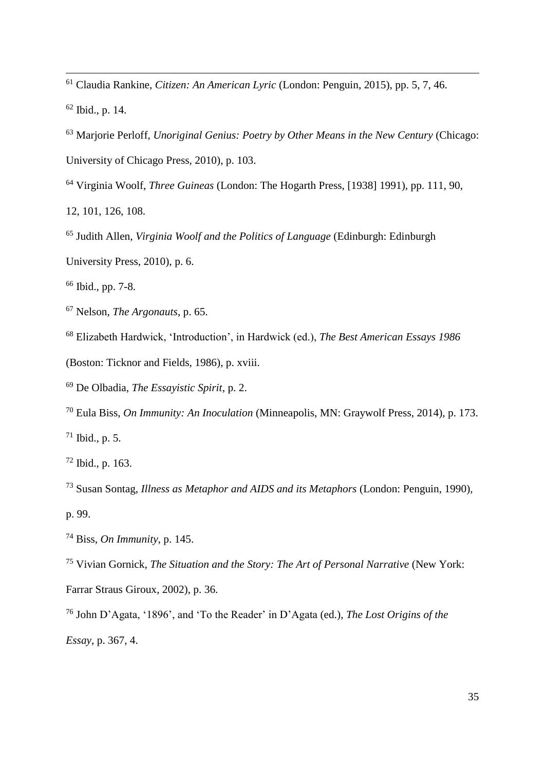Claudia Rankine, *Citizen: An American Lyric* (London: Penguin, 2015), pp. 5, 7, 46.

Ibid., p. 14.

<u>.</u>

- Marjorie Perloff, *Unoriginal Genius: Poetry by Other Means in the New Century* (Chicago: University of Chicago Press, 2010), p. 103.
- Virginia Woolf, *Three Guineas* (London: The Hogarth Press, [1938] 1991), pp. 111, 90,
- 12, 101, 126, 108.
- Judith Allen, *Virginia Woolf and the Politics of Language* (Edinburgh: Edinburgh
- University Press, 2010), p. 6.
- Ibid., pp. 7-8.
- Nelson, *The Argonauts*, p. 65.
- Elizabeth Hardwick, 'Introduction', in Hardwick (ed.), *The Best American Essays 1986*
- (Boston: Ticknor and Fields, 1986), p. xviii.
- De Olbadia, *The Essayistic Spirit*, p. 2.
- Eula Biss, *On Immunity: An Inoculation* (Minneapolis, MN: Graywolf Press, 2014), p. 173.
- Ibid., p. 5.
- Ibid., p. 163.
- Susan Sontag, *Illness as Metaphor and AIDS and its Metaphors* (London: Penguin, 1990), p. 99.
- Biss, *On Immunity*, p. 145.
- Vivian Gornick, *The Situation and the Story: The Art of Personal Narrative* (New York: Farrar Straus Giroux, 2002), p. 36.
- John D'Agata, '1896', and 'To the Reader' in D'Agata (ed.), *The Lost Origins of the Essay*, p. 367, 4.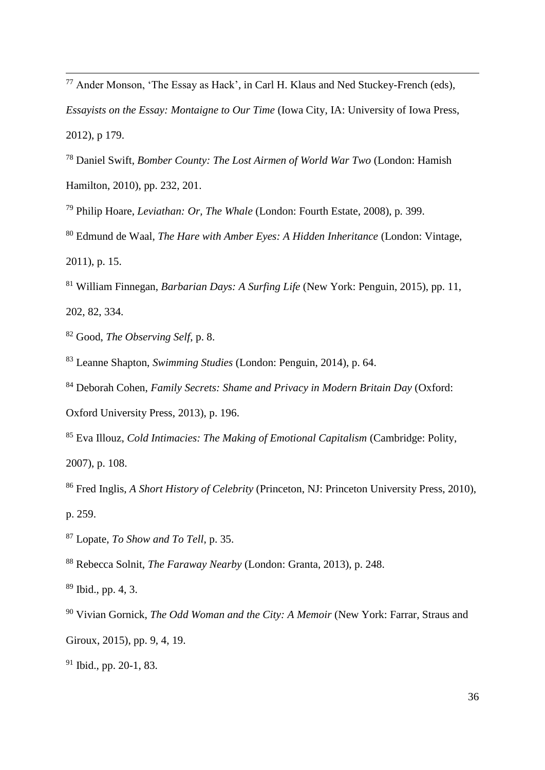- <sup>77</sup> Ander Monson, 'The Essay as Hack', in Carl H. Klaus and Ned Stuckey-French (eds), *Essayists on the Essay: Montaigne to Our Time (Iowa City, IA: University of Iowa Press,* 2012), p 179.
- <sup>78</sup> Daniel Swift, *Bomber County: The Lost Airmen of World War Two* (London: Hamish Hamilton, 2010), pp. 232, 201.
- <sup>79</sup> Philip Hoare, *Leviathan: Or, The Whale* (London: Fourth Estate, 2008), p. 399.
- <sup>80</sup> Edmund de Waal, *The Hare with Amber Eyes: A Hidden Inheritance* (London: Vintage, 2011), p. 15.
- <sup>81</sup> William Finnegan, *Barbarian Days: A Surfing Life* (New York: Penguin, 2015), pp. 11, 202, 82, 334.
- <sup>82</sup> Good, *The Observing Self*, p. 8.

<u>.</u>

- <sup>83</sup> Leanne Shapton, *Swimming Studies* (London: Penguin, 2014), p. 64.
- <sup>84</sup> Deborah Cohen, *Family Secrets: Shame and Privacy in Modern Britain Day* (Oxford:
- Oxford University Press, 2013), p. 196.
- <sup>85</sup> Eva Illouz, *Cold Intimacies: The Making of Emotional Capitalism* (Cambridge: Polity, 2007), p. 108.
- <sup>86</sup> Fred Inglis, *A Short History of Celebrity* (Princeton, NJ: Princeton University Press, 2010), p. 259.
- <sup>87</sup> Lopate, *To Show and To Tell*, p. 35.
- <sup>88</sup> Rebecca Solnit, *The Faraway Nearby* (London: Granta, 2013), p. 248.
- <sup>89</sup> Ibid., pp. 4, 3.
- <sup>90</sup> Vivian Gornick, *The Odd Woman and the City: A Memoir* (New York: Farrar, Straus and Giroux, 2015), pp. 9, 4, 19.
- <sup>91</sup> Ibid., pp. 20-1, 83.